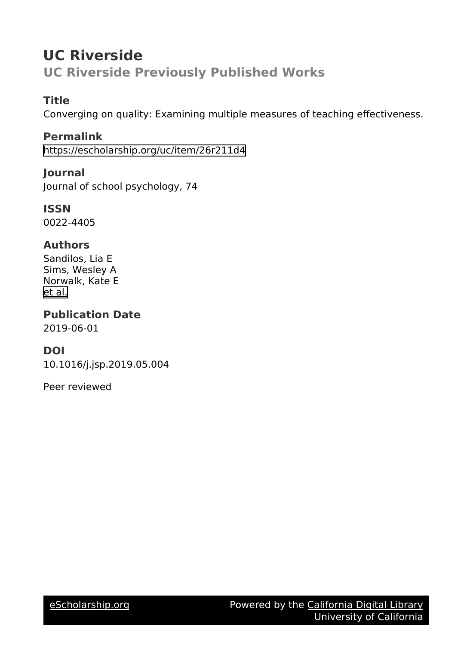# **UC Riverside UC Riverside Previously Published Works**

## **Title**

Converging on quality: Examining multiple measures of teaching effectiveness.

**Permalink** <https://escholarship.org/uc/item/26r211d4>

**Journal**

Journal of school psychology, 74

**ISSN** 0022-4405

## **Authors**

Sandilos, Lia E Sims, Wesley A Norwalk, Kate E [et al.](https://escholarship.org/uc/item/26r211d4#author)

**Publication Date** 2019-06-01

## **DOI**

10.1016/j.jsp.2019.05.004

Peer reviewed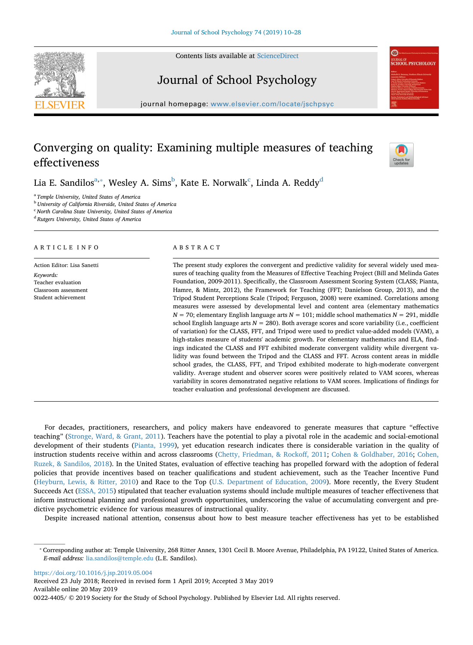Contents lists available at [ScienceDirect](http://www.sciencedirect.com/science/journal/00224405)





## Journal of School Psychology

journal homepage: [www.elsevier.com/locate/jschpsyc](https://www.elsevier.com/locate/jschpsyc)

## Converging on quality: Examining multiple measures of teaching effectiveness



Lia E. San[d](#page-1-4)ilos $^{a,*}$ , Wesley A. Sims $^{\rm b}$  $^{\rm b}$  $^{\rm b}$ , Kate E. Norwalk $^{\rm c}$  $^{\rm c}$  $^{\rm c}$ , Linda A. Reddy $^{\rm d}$ 

<span id="page-1-0"></span><sup>a</sup> *Temple University, United States of America*

<span id="page-1-2"></span><sup>b</sup> *University of California Riverside, United States of America*

<span id="page-1-3"></span><sup>c</sup> *North Carolina State University, United States of America*

<span id="page-1-4"></span><sup>d</sup> *Rutgers University, United States of America*

### ARTICLE INFO

Action Editor: Lisa Sanetti

*Keywords:* Teacher evaluation Classroom assessment Student achievement

## ABSTRACT

The present study explores the convergent and predictive validity for several widely used measures of teaching quality from the Measures of Effective Teaching Project (Bill and Melinda Gates Foundation, 2009-2011). Specifically, the Classroom Assessment Scoring System (CLASS; Pianta, Hamre, & Mintz, 2012), the Framework for Teaching (FFT; Danielson Group, 2013), and the Tripod Student Perceptions Scale (Tripod; Ferguson, 2008) were examined. Correlations among measures were assessed by developmental level and content area (elementary mathematics  $N = 70$ ; elementary English language arts  $N = 101$ ; middle school mathematics  $N = 291$ , middle school English language arts  $N = 280$ ). Both average scores and score variability (i.e., coefficient of variation) for the CLASS, FFT, and Tripod were used to predict value-added models (VAM), a high-stakes measure of students' academic growth. For elementary mathematics and ELA, findings indicated the CLASS and FFT exhibited moderate convergent validity while divergent validity was found between the Tripod and the CLASS and FFT. Across content areas in middle school grades, the CLASS, FFT, and Tripod exhibited moderate to high-moderate convergent validity. Average student and observer scores were positively related to VAM scores, whereas variability in scores demonstrated negative relations to VAM scores. Implications of findings for teacher evaluation and professional development are discussed.

For decades, practitioners, researchers, and policy makers have endeavored to generate measures that capture "effective teaching" [\(Stronge, Ward, & Grant, 2011](#page-18-0)). Teachers have the potential to play a pivotal role in the academic and social-emotional development of their students ([Pianta, 1999\)](#page-18-1), yet education research indicates there is considerable variation in the quality of instruction students receive within and across classrooms ([Chetty, Friedman, & Rockoff, 2011;](#page-17-0) [Cohen & Goldhaber, 2016](#page-17-1); [Cohen,](#page-17-2) [Ruzek, & Sandilos, 2018\)](#page-17-2). In the United States, evaluation of effective teaching has propelled forward with the adoption of federal policies that provide incentives based on teacher qualifications and student achievement, such as the Teacher Incentive Fund [\(Heyburn, Lewis, & Ritter, 2010](#page-17-3)) and Race to the Top ([U.S. Department of Education, 2009\)](#page-18-2). More recently, the Every Student Succeeds Act ([ESSA, 2015\)](#page-17-4) stipulated that teacher evaluation systems should include multiple measures of teacher effectiveness that inform instructional planning and professional growth opportunities, underscoring the value of accumulating convergent and predictive psychometric evidence for various measures of instructional quality.

Despite increased national attention, consensus about how to best measure teacher effectiveness has yet to be established

<https://doi.org/10.1016/j.jsp.2019.05.004>

Received 23 July 2018; Received in revised form 1 April 2019; Accepted 3 May 2019 Available online 20 May 2019 0022-4405/ © 2019 Society for the Study of School Psychology. Published by Elsevier Ltd. All rights reserved.

<span id="page-1-1"></span><sup>⁎</sup> Corresponding author at: Temple University, 268 Ritter Annex, 1301 Cecil B. Moore Avenue, Philadelphia, PA 19122, United States of America. *E-mail address:* [lia.sandilos@temple.edu](mailto:lia.sandilos@temple.edu) (L.E. Sandilos).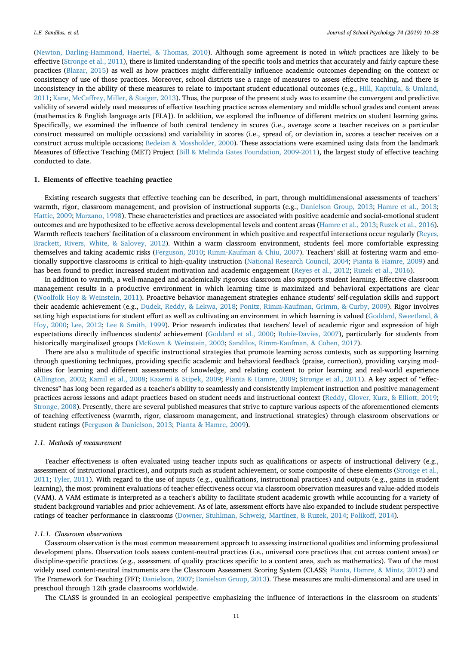[\(Newton, Darling-Hammond, Haertel, & Thomas, 2010](#page-18-3)). Although some agreement is noted in *which* practices are likely to be effective ([Stronge et al., 2011](#page-18-0)), there is limited understanding of the specific tools and metrics that accurately and fairly capture these practices [\(Blazar, 2015\)](#page-17-5) as well as how practices might differentially influence academic outcomes depending on the context or consistency of use of those practices. Moreover, school districts use a range of measures to assess effective teaching, and there is inconsistency in the ability of these measures to relate to important student educational outcomes (e.g., [Hill, Kapitula, & Umland,](#page-17-6) [2011;](#page-17-6) [Kane, McCaffrey, Miller, & Staiger, 2013\)](#page-18-4). Thus, the purpose of the present study was to examine the convergent and predictive validity of several widely used measures of effective teaching practice across elementary and middle school grades and content areas (mathematics & English language arts [ELA]). In addition, we explored the influence of different metrics on student learning gains. Specifically, we examined the influence of both central tendency in scores (i.e., average score a teacher receives on a particular construct measured on multiple occasions) and variability in scores (i.e., spread of, or deviation in, scores a teacher receives on a construct across multiple occasions; [Bedeian & Mossholder, 2000](#page-17-7)). These associations were examined using data from the landmark Measures of Effective Teaching (MET) Project [\(Bill & Melinda Gates Foundation, 2009-2011\)](#page-17-8), the largest study of effective teaching conducted to date.

#### **1. Elements of effective teaching practice**

Existing research suggests that effective teaching can be described, in part, through multidimensional assessments of teachers' warmth, rigor, classroom management, and provision of instructional supports (e.g., [Danielson Group, 2013](#page-17-9); [Hamre et al., 2013](#page-17-10); [Hattie, 2009;](#page-17-11) [Marzano, 1998](#page-18-5)). These characteristics and practices are associated with positive academic and social-emotional student outcomes and are hypothesized to be effective across developmental levels and content areas ([Hamre et al., 2013;](#page-17-10) [Ruzek et al., 2016](#page-18-6)). Warmth reflects teachers' facilitation of a classroom environment in which positive and respectful interactions occur regularly ([Reyes,](#page-18-7) [Brackett, Rivers, White, & Salovey, 2012\)](#page-18-7). Within a warm classroom environment, students feel more comfortable expressing themselves and taking academic risks ([Ferguson, 2010](#page-17-12); [Rimm-Kaufman & Chiu, 2007\)](#page-18-8). Teachers' skill at fostering warm and emotionally supportive classrooms is critical to high-quality instruction [\(National Research Council, 2004](#page-18-9); [Pianta & Hamre, 2009](#page-18-10)) and has been found to predict increased student motivation and academic engagement ([Reyes et al., 2012;](#page-18-7) [Ruzek et al., 2016](#page-18-6)).

In addition to warmth, a well-managed and academically rigorous classroom also supports student learning. Effective classroom management results in a productive environment in which learning time is maximized and behavioral expectations are clear [\(Woolfolk Hoy & Weinstein, 2011\)](#page-19-0). Proactive behavior management strategies enhance students' self-regulation skills and support their academic achievement (e.g., [Dudek, Reddy, & Lekwa, 2018](#page-17-13); [Ponitz, Rimm-Kaufman, Grimm, & Curby, 2009](#page-18-11)). Rigor involves setting high expectations for student effort as well as cultivating an environment in which learning is valued [\(Goddard, Sweetland, &](#page-17-14) [Hoy, 2000;](#page-17-14) [Lee, 2012](#page-18-12); [Lee & Smith, 1999](#page-18-13)). Prior research indicates that teachers' level of academic rigor and expression of high expectations directly influences students' achievement ([Goddard et al., 2000](#page-17-14); [Rubie-Davies, 2007](#page-18-14)), particularly for students from historically marginalized groups [\(McKown & Weinstein, 2003;](#page-18-15) [Sandilos, Rimm-Kaufman, & Cohen, 2017\)](#page-18-16).

There are also a multitude of specific instructional strategies that promote learning across contexts, such as supporting learning through questioning techniques, providing specific academic and behavioral feedback (praise, correction), providing varying modalities for learning and different assessments of knowledge, and relating content to prior learning and real-world experience [\(Allington, 2002;](#page-16-0) [Kamil et al., 2008;](#page-17-15) [Kazemi & Stipek, 2009;](#page-18-17) [Pianta & Hamre, 2009](#page-18-10); [Stronge et al., 2011](#page-18-0)). A key aspect of "effectiveness" has long been regarded as a teacher's ability to seamlessly and consistently implement instruction and positive management practices across lessons and adapt practices based on student needs and instructional context [\(Reddy, Glover, Kurz, & Elliott, 2019](#page-18-18); [Stronge, 2008](#page-18-19)). Presently, there are several published measures that strive to capture various aspects of the aforementioned elements of teaching effectiveness (warmth, rigor, classroom management, and instructional strategies) through classroom observations or student ratings ([Ferguson & Danielson, 2013](#page-17-16); [Pianta & Hamre, 2009\)](#page-18-10).

#### *1.1. Methods of measurement*

Teacher effectiveness is often evaluated using teacher inputs such as qualifications or aspects of instructional delivery (e.g., assessment of instructional practices), and outputs such as student achievement, or some composite of these elements [\(Stronge et al.,](#page-18-0) [2011;](#page-18-0) [Tyler, 2011\)](#page-18-20). With regard to the use of inputs (e.g., qualifications, instructional practices) and outputs (e.g., gains in student learning), the most prominent evaluations of teacher effectiveness occur via classroom observation measures and value-added models (VAM). A VAM estimate is interpreted as a teacher's ability to facilitate student academic growth while accounting for a variety of student background variables and prior achievement. As of late, assessment efforts have also expanded to include student perspective ratings of teacher performance in classrooms ([Downer, Stuhlman, Schweig, Martínez, & Ruzek, 2014;](#page-17-17) [Polikoff, 2014\)](#page-18-21).

#### *1.1.1. Classroom observations*

Classroom observation is the most common measurement approach to assessing instructional qualities and informing professional development plans. Observation tools assess content-neutral practices (i.e., universal core practices that cut across content areas) or discipline-specific practices (e.g., assessment of quality practices specific to a content area, such as mathematics). Two of the most widely used content-neutral instruments are the Classroom Assessment Scoring System (CLASS; [Pianta, Hamre, & Mintz, 2012\)](#page-18-22) and The Framework for Teaching (FFT; [Danielson, 2007](#page-17-18); [Danielson Group, 2013](#page-17-9)). These measures are multi-dimensional and are used in preschool through 12th grade classrooms worldwide.

The CLASS is grounded in an ecological perspective emphasizing the influence of interactions in the classroom on students'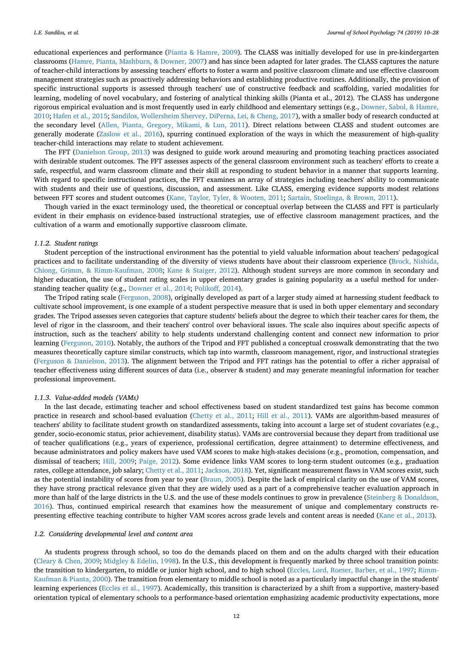educational experiences and performance [\(Pianta & Hamre, 2009](#page-18-10)). The CLASS was initially developed for use in pre-kindergarten classrooms [\(Hamre, Pianta, Mashburn, & Downer, 2007\)](#page-17-19) and has since been adapted for later grades. The CLASS captures the nature of teacher-child interactions by assessing teachers' efforts to foster a warm and positive classroom climate and use effective classroom management strategies such as proactively addressing behaviors and establishing productive routines. Additionally, the provision of specific instructional supports is assessed through teachers' use of constructive feedback and scaffolding, varied modalities for learning, modeling of novel vocabulary, and fostering of analytical thinking skills (Pianta et al., 2012). The CLASS has undergone rigorous empirical evaluation and is most frequently used in early childhood and elementary settings (e.g., [Downer, Sabol, & Hamre,](#page-17-20) [2010;](#page-17-20) [Hafen et al., 2015;](#page-17-21) [Sandilos, Wollersheim Shervey, DiPerna, Lei, & Cheng, 2017](#page-18-23)), with a smaller body of research conducted at the secondary level [\(Allen, Pianta, Gregory, Mikami, & Lun, 2011\)](#page-16-1). Direct relations between CLASS and student outcomes are generally moderate [\(Zaslow et al., 2016](#page-19-1)), spurring continued exploration of the ways in which the measurement of high-quality teacher-child interactions may relate to student achievement.

The FFT ([Danielson Group, 2013\)](#page-17-9) was designed to guide work around measuring and promoting teaching practices associated with desirable student outcomes. The FFT assesses aspects of the general classroom environment such as teachers' efforts to create a safe, respectful, and warm classroom climate and their skill at responding to student behavior in a manner that supports learning. With regard to specific instructional practices, the FFT examines an array of strategies including teachers' ability to communicate with students and their use of questions, discussion, and assessment. Like CLASS, emerging evidence supports modest relations between FFT scores and student outcomes ([Kane, Taylor, Tyler, & Wooten, 2011;](#page-18-24) [Sartain, Stoelinga, & Brown, 2011](#page-18-25)).

Though varied in the exact terminology used, the theoretical or conceptual overlap between the CLASS and FFT is particularly evident in their emphasis on evidence-based instructional strategies, use of effective classroom management practices, and the cultivation of a warm and emotionally supportive classroom climate.

#### *1.1.2. Student ratings*

Student perception of the instructional environment has the potential to yield valuable information about teachers' pedagogical practices and to facilitate understanding of the diversity of views students have about their classroom experience ([Brock, Nishida,](#page-17-22) [Chiong, Grimm, & Rimm-Kaufman, 2008](#page-17-22); [Kane & Staiger, 2012](#page-18-26)). Although student surveys are more common in secondary and higher education, the use of student rating scales in upper elementary grades is gaining popularity as a useful method for understanding teacher quality (e.g., [Downer et al., 2014](#page-17-17); [Polikoff, 2014](#page-18-21)).

The Tripod rating scale [\(Ferguson, 2008\)](#page-17-23), originally developed as part of a larger study aimed at harnessing student feedback to cultivate school improvement, is one example of a student perspective measure that is used in both upper elementary and secondary grades. The Tripod assesses seven categories that capture students' beliefs about the degree to which their teacher cares for them, the level of rigor in the classroom, and their teachers' control over behavioral issues. The scale also inquires about specific aspects of instruction, such as the teachers' ability to help students understand challenging content and connect new information to prior learning [\(Ferguson, 2010\)](#page-17-12). Notably, the authors of the Tripod and FFT published a conceptual crosswalk demonstrating that the two measures theoretically capture similar constructs, which tap into warmth, classroom management, rigor, and instructional strategies [\(Ferguson & Danielson, 2013\)](#page-17-16). The alignment between the Tripod and FFT ratings has the potential to offer a richer appraisal of teacher effectiveness using different sources of data (i.e., observer & student) and may generate meaningful information for teacher professional improvement.

#### *1.1.3. Value-added models (VAMs)*

In the last decade, estimating teacher and school effectiveness based on student standardized test gains has become common practice in research and school-based evaluation ([Chetty et al., 2011](#page-17-0); [Hill et al., 2011\)](#page-17-6). VAMs are algorithm-based measures of teachers' ability to facilitate student growth on standardized assessments, taking into account a large set of student covariates (e.g., gender, socio-economic status, prior achievement, disability status). VAMs are controversial because they depart from traditional use of teacher qualifications (e.g., years of experience, professional certification, degree attainment) to determine effectiveness, and because administrators and policy makers have used VAM scores to make high-stakes decisions (e.g., promotion, compensation, and dismissal of teachers; [Hill, 2009;](#page-17-24) [Paige, 2012\)](#page-18-27). Some evidence links VAM scores to long-term student outcomes (e.g., graduation rates, college attendance, job salary; [Chetty et al., 2011;](#page-17-0) [Jackson, 2018\)](#page-17-25). Yet, significant measurement flaws in VAM scores exist, such as the potential instability of scores from year to year ([Braun, 2005](#page-17-26)). Despite the lack of empirical clarity on the use of VAM scores, they have strong practical relevance given that they are widely used as a part of a comprehensive teacher evaluation approach in more than half of the large districts in the U.S. and the use of these models continues to grow in prevalence [\(Steinberg & Donaldson,](#page-18-28) [2016\)](#page-18-28). Thus, continued empirical research that examines how the measurement of unique and complementary constructs representing effective teaching contribute to higher VAM scores across grade levels and content areas is needed ([Kane et al., 2013\)](#page-18-4).

### *1.2. Considering developmental level and content area*

As students progress through school, so too do the demands placed on them and on the adults charged with their education [\(Cleary & Chen, 2009;](#page-17-27) [Midgley & Edelin, 1998\)](#page-18-29). In the U.S., this development is frequently marked by three school transition points: the transition to kindergarten, to middle or junior high school, and to high school ([Eccles, Lord, Roeser, Barber, et al., 1997;](#page-17-28) [Rimm-](#page-18-30)[Kaufman & Pianta, 2000](#page-18-30)). The transition from elementary to middle school is noted as a particularly impactful change in the students' learning experiences [\(Eccles et al., 1997](#page-17-28)). Academically, this transition is characterized by a shift from a supportive, mastery-based orientation typical of elementary schools to a performance-based orientation emphasizing academic productivity expectations, more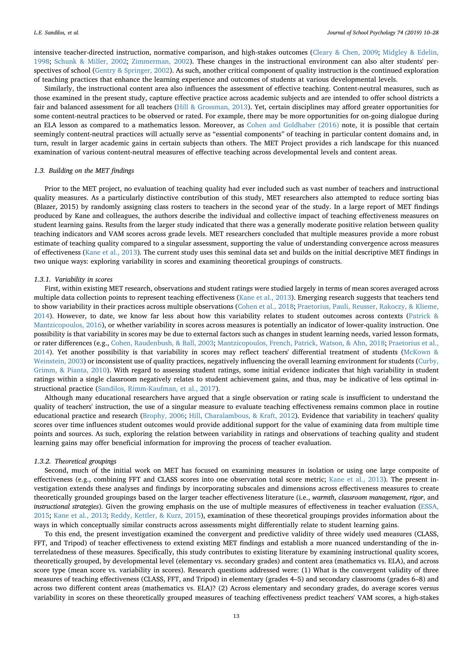intensive teacher-directed instruction, normative comparison, and high-stakes outcomes [\(Cleary & Chen, 2009](#page-17-27); [Midgley & Edelin,](#page-18-29) [1998;](#page-18-29) [Schunk & Miller, 2002;](#page-18-31) [Zimmerman, 2002](#page-19-2)). These changes in the instructional environment can also alter students' perspectives of school [\(Gentry & Springer, 2002](#page-17-29)). As such, another critical component of quality instruction is the continued exploration of teaching practices that enhance the learning experience and outcomes of students at various developmental levels.

Similarly, the instructional content area also influences the assessment of effective teaching. Content-neutral measures, such as those examined in the present study, capture effective practice across academic subjects and are intended to offer school districts a fair and balanced assessment for all teachers ([Hill & Grossman, 2013](#page-17-30)). Yet, certain disciplines may afford greater opportunities for some content-neutral practices to be observed or rated. For example, there may be more opportunities for on-going dialogue during an ELA lesson as compared to a mathematics lesson. Moreover, as [Cohen and Goldhaber \(2016\)](#page-17-1) note, it is possible that certain seemingly content-neutral practices will actually serve as "essential components" of teaching in particular content domains and, in turn, result in larger academic gains in certain subjects than others. The MET Project provides a rich landscape for this nuanced examination of various content-neutral measures of effective teaching across developmental levels and content areas.

#### *1.3. Building on the MET findings*

Prior to the MET project, no evaluation of teaching quality had ever included such as vast number of teachers and instructional quality measures. As a particularly distinctive contribution of this study, MET researchers also attempted to reduce sorting bias (Blazer, 2015) by randomly assigning class rosters to teachers in the second year of the study. In a large report of MET findings produced by Kane and colleagues, the authors describe the individual and collective impact of teaching effectiveness measures on student learning gains. Results from the larger study indicated that there was a generally moderate positive relation between quality teaching indicators and VAM scores across grade levels. MET researchers concluded that multiple measures provide a more robust estimate of teaching quality compared to a singular assessment, supporting the value of understanding convergence across measures of effectiveness [\(Kane et al., 2013\)](#page-18-4). The current study uses this seminal data set and builds on the initial descriptive MET findings in two unique ways: exploring variability in scores and examining theoretical groupings of constructs.

#### *1.3.1. Variability in scores*

First, within existing MET research, observations and student ratings were studied largely in terms of mean scores averaged across multiple data collection points to represent teaching effectiveness ([Kane et al., 2013](#page-18-4)). Emerging research suggests that teachers tend to show variability in their practices across multiple observations ([Cohen et al., 2018](#page-17-2); [Praetorius, Pauli, Reusser, Rakoczy, & Klieme,](#page-18-32) [2014\)](#page-18-32). However, to date, we know far less about how this variability relates to student outcomes across contexts ([Patrick &](#page-18-33) [Mantzicopoulos, 2016](#page-18-33)), or whether variability in scores across measures is potentially an indicator of lower-quality instruction. One possibility is that variability in scores may be due to external factors such as changes in student learning needs, varied lesson formats, or rater differences (e.g., [Cohen, Raudenbush, & Ball, 2003](#page-17-31); [Mantzicopoulos, French, Patrick, Watson, & Ahn, 2018](#page-18-34); [Praetorius et al.,](#page-18-32) [2014\)](#page-18-32). Yet another possibility is that variability in scores may reflect teachers' differential treatment of students ([McKown &](#page-18-15) [Weinstein, 2003](#page-18-15)) or inconsistent use of quality practices, negatively influencing the overall learning environment for students ([Curby,](#page-17-32) [Grimm, & Pianta, 2010\)](#page-17-32). With regard to assessing student ratings, some initial evidence indicates that high variability in student ratings within a single classroom negatively relates to student achievement gains, and thus, may be indicative of less optimal instructional practice [\(Sandilos, Rimm-Kaufman, et al., 2017](#page-18-16)).

Although many educational researchers have argued that a single observation or rating scale is insufficient to understand the quality of teachers' instruction, the use of a singular measure to evaluate teaching effectiveness remains common place in routine educational practice and research [\(Brophy, 2006;](#page-17-33) [Hill, Charalambous, & Kraft, 2012\)](#page-17-34). Evidence that variability in teachers' quality scores over time influences student outcomes would provide additional support for the value of examining data from multiple time points and sources. As such, exploring the relation between variability in ratings and observations of teaching quality and student learning gains may offer beneficial information for improving the process of teacher evaluation.

#### *1.3.2. Theoretical groupings*

Second, much of the initial work on MET has focused on examining measures in isolation or using one large composite of effectiveness (e.g., combining FFT and CLASS scores into one observation total score metric; [Kane et al., 2013\)](#page-18-4). The present investigation extends these analyses and findings by incorporating subscales and dimensions across effectiveness measures to create theoretically grounded groupings based on the larger teacher effectiveness literature (i.e., *warmth*, *classroom management*, *rigor*, and *instructional strategies*). Given the growing emphasis on the use of multiple measures of effectiveness in teacher evaluation ([ESSA,](#page-17-4) [2015;](#page-17-4) [Kane et al., 2013;](#page-18-4) [Reddy, Kettler, & Kurz, 2015](#page-18-35)), examination of these theoretical groupings provides information about the ways in which conceptually similar constructs across assessments might differentially relate to student learning gains.

To this end, the present investigation examined the convergent and predictive validity of three widely used measures (CLASS, FFT, and Tripod) of teacher effectiveness to extend existing MET findings and establish a more nuanced understanding of the interrelatedness of these measures. Specifically, this study contributes to existing literature by examining instructional quality scores, theoretically grouped, by developmental level (elementary vs. secondary grades) and content area (mathematics vs. ELA), and across score type (mean score vs. variability in scores). Research questions addressed were: (1) What is the convergent validity of three measures of teaching effectiveness (CLASS, FFT, and Tripod) in elementary (grades 4–5) and secondary classrooms (grades 6–8) and across two different content areas (mathematics vs. ELA)? (2) Across elementary and secondary grades, do average scores versus variability in scores on these theoretically grouped measures of teaching effectiveness predict teachers' VAM scores, a high-stakes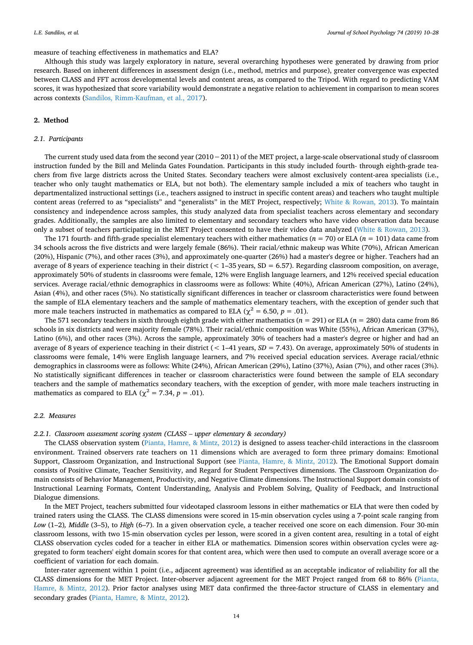measure of teaching effectiveness in mathematics and ELA?

Although this study was largely exploratory in nature, several overarching hypotheses were generated by drawing from prior research. Based on inherent differences in assessment design (i.e., method, metrics and purpose), greater convergence was expected between CLASS and FFT across developmental levels and content areas, as compared to the Tripod. With regard to predicting VAM scores, it was hypothesized that score variability would demonstrate a negative relation to achievement in comparison to mean scores across contexts ([Sandilos, Rimm-Kaufman, et al., 2017](#page-18-16)).

### **2. Method**

#### *2.1. Participants*

The current study used data from the second year (2010−2011) of the MET project, a large-scale observational study of classroom instruction funded by the Bill and Melinda Gates Foundation. Participants in this study included fourth- through eighth-grade teachers from five large districts across the United States. Secondary teachers were almost exclusively content-area specialists (i.e., teacher who only taught mathematics or ELA, but not both). The elementary sample included a mix of teachers who taught in departmentalized instructional settings (i.e., teachers assigned to instruct in specific content areas) and teachers who taught multiple content areas (referred to as "specialists" and "generalists" in the MET Project, respectively; [White & Rowan, 2013\)](#page-18-36). To maintain consistency and independence across samples, this study analyzed data from specialist teachers across elementary and secondary grades. Additionally, the samples are also limited to elementary and secondary teachers who have video observation data because only a subset of teachers participating in the MET Project consented to have their video data analyzed ([White & Rowan, 2013\)](#page-18-36).

The 171 fourth- and fifth-grade specialist elementary teachers with either mathematics  $(n = 70)$  or ELA  $(n = 101)$  data came from 34 schools across the five districts and were largely female (86%). Their racial/ethnic makeup was White (70%), African American (20%), Hispanic (7%), and other races (3%), and approximately one-quarter (26%) had a master's degree or higher. Teachers had an average of 8 years of experience teaching in their district ( $<$  1–35 years, SD = 6.57). Regarding classroom composition, on average, approximately 50% of students in classrooms were female, 12% were English language learners, and 12% received special education services. Average racial/ethnic demographics in classrooms were as follows: White (40%), African American (27%), Latino (24%), Asian (4%), and other races (5%). No statistically significant differences in teacher or classroom characteristics were found between the sample of ELA elementary teachers and the sample of mathematics elementary teachers, with the exception of gender such that more male teachers instructed in mathematics as compared to ELA ( $\chi^2$  = 6.50, *p* = .01).

The 571 secondary teachers in sixth through eighth grade with either mathematics  $(n = 291)$  or ELA  $(n = 280)$  data came from 86 schools in six districts and were majority female (78%). Their racial/ethnic composition was White (55%), African American (37%), Latino (6%), and other races (3%). Across the sample, approximately 30% of teachers had a master's degree or higher and had an average of 8 years of experience teaching in their district (< 1–41 years, *SD* = 7.43). On average, approximately 50% of students in classrooms were female, 14% were English language learners, and 7% received special education services. Average racial/ethnic demographics in classrooms were as follows: White (24%), African American (29%), Latino (37%), Asian (7%), and other races (3%). No statistically significant differences in teacher or classroom characteristics were found between the sample of ELA secondary teachers and the sample of mathematics secondary teachers, with the exception of gender, with more male teachers instructing in mathematics as compared to ELA ( $\chi^2$  = 7.34, *p* = .01).

#### *2.2. Measures*

#### *2.2.1. Classroom assessment scoring system (CLASS – upper elementary & secondary)*

The CLASS observation system [\(Pianta, Hamre, & Mintz, 2012](#page-18-22)) is designed to assess teacher-child interactions in the classroom environment. Trained observers rate teachers on 11 dimensions which are averaged to form three primary domains: Emotional Support, Classroom Organization, and Instructional Support (see [Pianta, Hamre, & Mintz, 2012\)](#page-18-22). The Emotional Support domain consists of Positive Climate, Teacher Sensitivity, and Regard for Student Perspectives dimensions. The Classroom Organization domain consists of Behavior Management, Productivity, and Negative Climate dimensions. The Instructional Support domain consists of Instructional Learning Formats, Content Understanding, Analysis and Problem Solving, Quality of Feedback, and Instructional Dialogue dimensions.

In the MET Project, teachers submitted four videotaped classroom lessons in either mathematics or ELA that were then coded by trained raters using the CLASS. The CLASS dimensions were scored in 15-min observation cycles using a 7-point scale ranging from *Low* (1–2)*, Middle* (3–5), to *High* (6–7). In a given observation cycle, a teacher received one score on each dimension. Four 30-min classroom lessons, with two 15-min observation cycles per lesson, were scored in a given content area, resulting in a total of eight CLASS observation cycles coded for a teacher in either ELA or mathematics. Dimension scores within observation cycles were aggregated to form teachers' eight domain scores for that content area, which were then used to compute an overall average score or a coefficient of variation for each domain.

Inter-rater agreement within 1 point (i.e., adjacent agreement) was identified as an acceptable indicator of reliability for all the CLASS dimensions for the MET Project. Inter-observer adjacent agreement for the MET Project ranged from 68 to 86% ([Pianta,](#page-18-22) [Hamre, & Mintz, 2012](#page-18-22)). Prior factor analyses using MET data confirmed the three-factor structure of CLASS in elementary and secondary grades ([Pianta, Hamre, & Mintz, 2012](#page-18-22)).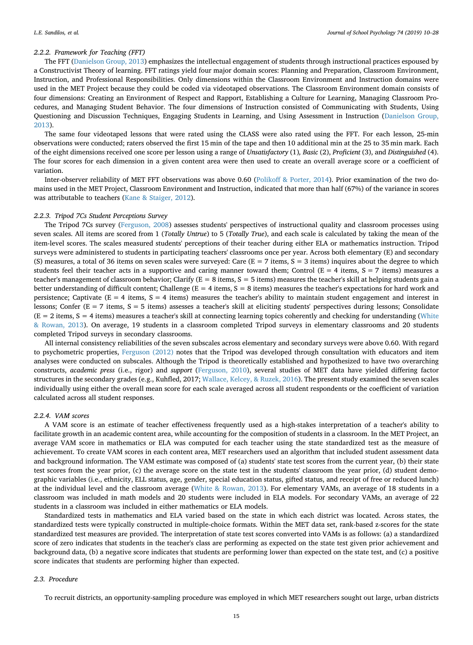#### *2.2.2. Framework for Teaching (FFT)*

The FFT [\(Danielson Group, 2013](#page-17-9)) emphasizes the intellectual engagement of students through instructional practices espoused by a Constructivist Theory of learning. FFT ratings yield four major domain scores: Planning and Preparation, Classroom Environment, Instruction, and Professional Responsibilities. Only dimensions within the Classroom Environment and Instruction domains were used in the MET Project because they could be coded via videotaped observations. The Classroom Environment domain consists of four dimensions: Creating an Environment of Respect and Rapport, Establishing a Culture for Learning, Managing Classroom Procedures, and Managing Student Behavior. The four dimensions of Instruction consisted of Communicating with Students, Using Questioning and Discussion Techniques, Engaging Students in Learning, and Using Assessment in Instruction ([Danielson Group,](#page-17-9) [2013\)](#page-17-9).

The same four videotaped lessons that were rated using the CLASS were also rated using the FFT. For each lesson, 25-min observations were conducted; raters observed the first 15 min of the tape and then 10 additional min at the 25 to 35 min mark. Each of the eight dimensions received one score per lesson using a range of *Unsatisfactory* (1)*, Basic* (2), *Proficient* (3), and *Distinguished* (4). The four scores for each dimension in a given content area were then used to create an overall average score or a coefficient of variation.

Inter-observer reliability of MET FFT observations was above 0.60 [\(Polikoff & Porter, 2014\)](#page-18-37). Prior examination of the two domains used in the MET Project, Classroom Environment and Instruction, indicated that more than half (67%) of the variance in scores was attributable to teachers ([Kane & Staiger, 2012\)](#page-18-26).

#### *2.2.3. Tripod 7Cs Student Perceptions Survey*

The Tripod 7Cs survey [\(Ferguson, 2008](#page-17-23)) assesses students' perspectives of instructional quality and classroom processes using seven scales. All items are scored from 1 (*Totally Untrue*) to 5 (*Totally True*), and each scale is calculated by taking the mean of the item-level scores. The scales measured students' perceptions of their teacher during either ELA or mathematics instruction. Tripod surveys were administered to students in participating teachers' classrooms once per year. Across both elementary (E) and secondary (S) measures, a total of 36 items on seven scales were surveyed: Care (E = 7 items, S = 3 items) inquires about the degree to which students feel their teacher acts in a supportive and caring manner toward them; Control ( $E = 4$  items,  $S = 7$  items) measures a teacher's management of classroom behavior; Clarify ( $E = 8$  items,  $S = 5$  items) measures the teacher's skill at helping students gain a better understanding of difficult content; Challenge (E = 4 items, S = 8 items) measures the teacher's expectations for hard work and persistence; Captivate ( $E = 4$  items,  $S = 4$  items) measures the teacher's ability to maintain student engagement and interest in lessons; Confer ( $E = 7$  items,  $S = 5$  items) assesses a teacher's skill at eliciting students' perspectives during lessons; Consolidate  $(E = 2$  items,  $S = 4$  items) measures a teacher's skill at connecting learning topics coherently and checking for understanding [\(White](#page-18-36) [& Rowan, 2013](#page-18-36)). On average, 19 students in a classroom completed Tripod surveys in elementary classrooms and 20 students completed Tripod surveys in secondary classrooms.

All internal consistency reliabilities of the seven subscales across elementary and secondary surveys were above 0.60. With regard to psychometric properties, [Ferguson \(2012\)](#page-17-35) notes that the Tripod was developed through consultation with educators and item analyses were conducted on subscales. Although the Tripod is theoretically established and hypothesized to have two overarching constructs, *academic press* (i.e., rigor) and *support* [\(Ferguson, 2010](#page-17-12)), several studies of MET data have yielded differing factor structures in the secondary grades (e.g., Kuhfled, 2017; [Wallace, Kelcey, & Ruzek, 2016](#page-18-38)). The present study examined the seven scales individually using either the overall mean score for each scale averaged across all student respondents or the coefficient of variation calculated across all student responses.

#### *2.2.4. VAM scores*

A VAM score is an estimate of teacher effectiveness frequently used as a high-stakes interpretation of a teacher's ability to facilitate growth in an academic content area, while accounting for the composition of students in a classroom. In the MET Project, an average VAM score in mathematics or ELA was computed for each teacher using the state standardized test as the measure of achievement. To create VAM scores in each content area, MET researchers used an algorithm that included student assessment data and background information. The VAM estimate was composed of (a) students' state test scores from the current year, (b) their state test scores from the year prior, (c) the average score on the state test in the students' classroom the year prior, (d) student demographic variables (i.e., ethnicity, ELL status, age, gender, special education status, gifted status, and receipt of free or reduced lunch) at the individual level and the classroom average [\(White & Rowan, 2013\)](#page-18-36). For elementary VAMs, an average of 18 students in a classroom was included in math models and 20 students were included in ELA models. For secondary VAMs, an average of 22 students in a classroom was included in either mathematics or ELA models.

Standardized tests in mathematics and ELA varied based on the state in which each district was located. Across states, the standardized tests were typically constructed in multiple-choice formats. Within the MET data set, rank-based z-scores for the state standardized test measures are provided. The interpretation of state test scores converted into VAMs is as follows: (a) a standardized score of zero indicates that students in the teacher's class are performing as expected on the state test given prior achievement and background data, (b) a negative score indicates that students are performing lower than expected on the state test, and (c) a positive score indicates that students are performing higher than expected.

#### *2.3. Procedure*

To recruit districts, an opportunity-sampling procedure was employed in which MET researchers sought out large, urban districts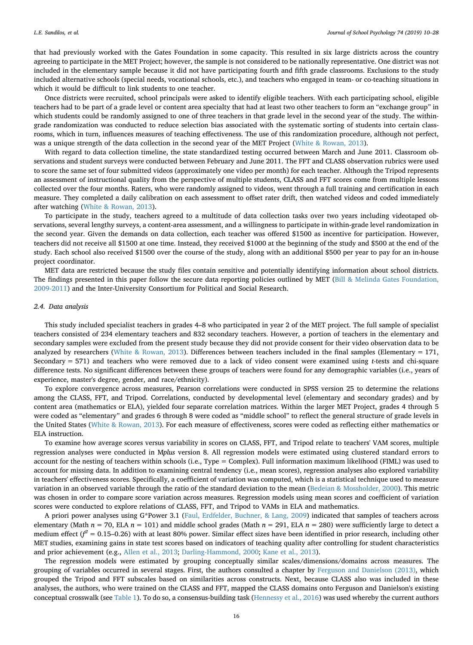that had previously worked with the Gates Foundation in some capacity. This resulted in six large districts across the country agreeing to participate in the MET Project; however, the sample is not considered to be nationally representative. One district was not included in the elementary sample because it did not have participating fourth and fifth grade classrooms. Exclusions to the study included alternative schools (special needs, vocational schools, etc.), and teachers who engaged in team- or co-teaching situations in which it would be difficult to link students to one teacher.

Once districts were recruited, school principals were asked to identify eligible teachers. With each participating school, eligible teachers had to be part of a grade level or content area specialty that had at least two other teachers to form an "exchange group" in which students could be randomly assigned to one of three teachers in that grade level in the second year of the study. The withingrade randomization was conducted to reduce selection bias associated with the systematic sorting of students into certain classrooms, which in turn, influences measures of teaching effectiveness. The use of this randomization procedure, although not perfect, was a unique strength of the data collection in the second year of the MET Project ([White & Rowan, 2013\)](#page-18-36).

With regard to data collection timeline, the state standardized testing occurred between March and June 2011. Classroom observations and student surveys were conducted between February and June 2011. The FFT and CLASS observation rubrics were used to score the same set of four submitted videos (approximately one video per month) for each teacher. Although the Tripod represents an assessment of instructional quality from the perspective of multiple students, CLASS and FFT scores come from multiple lessons collected over the four months. Raters, who were randomly assigned to videos, went through a full training and certification in each measure. They completed a daily calibration on each assessment to offset rater drift, then watched videos and coded immediately after watching [\(White & Rowan, 2013](#page-18-36)).

To participate in the study, teachers agreed to a multitude of data collection tasks over two years including videotaped observations, several lengthy surveys, a content-area assessment, and a willingness to participate in within-grade level randomization in the second year. Given the demands on data collection, each teacher was offered \$1500 as incentive for participation. However, teachers did not receive all \$1500 at one time. Instead, they received \$1000 at the beginning of the study and \$500 at the end of the study. Each school also received \$1500 over the course of the study, along with an additional \$500 per year to pay for an in-house project coordinator.

MET data are restricted because the study files contain sensitive and potentially identifying information about school districts. The findings presented in this paper follow the secure data reporting policies outlined by MET ([Bill & Melinda Gates Foundation,](#page-17-8) [2009-2011](#page-17-8)) and the Inter-University Consortium for Political and Social Research.

#### *2.4. Data analysis*

This study included specialist teachers in grades 4–8 who participated in year 2 of the MET project. The full sample of specialist teachers consisted of 234 elementary teachers and 832 secondary teachers. However, a portion of teachers in the elementary and secondary samples were excluded from the present study because they did not provide consent for their video observation data to be analyzed by researchers [\(White & Rowan, 2013](#page-18-36)). Differences between teachers included in the final samples (Elementary = 171, Secondary = 571) and teachers who were removed due to a lack of video consent were examined using *t*-tests and chi-square difference tests. No significant differences between these groups of teachers were found for any demographic variables (i.e., years of experience, master's degree, gender, and race/ethnicity).

To explore convergence across measures, Pearson correlations were conducted in SPSS version 25 to determine the relations among the CLASS, FFT, and Tripod. Correlations, conducted by developmental level (elementary and secondary grades) and by content area (mathematics or ELA), yielded four separate correlation matrices. Within the larger MET Project, grades 4 through 5 were coded as "elementary" and grades 6 through 8 were coded as "middle school" to reflect the general structure of grade levels in the United States ([White & Rowan, 2013](#page-18-36)). For each measure of effectiveness, scores were coded as reflecting either mathematics or ELA instruction.

To examine how average scores versus variability in scores on CLASS, FFT, and Tripod relate to teachers' VAM scores, multiple regression analyses were conducted in M*plus* version 8. All regression models were estimated using clustered standard errors to account for the nesting of teachers within schools (i.e., Type = Complex). Full information maximum likelihood (FIML) was used to account for missing data. In addition to examining central tendency (i.e., mean scores), regression analyses also explored variability in teachers' effectiveness scores. Specifically, a coefficient of variation was computed, which is a statistical technique used to measure variation in an observed variable through the ratio of the standard deviation to the mean [\(Bedeian & Mossholder, 2000](#page-17-7)). This metric was chosen in order to compare score variation across measures. Regression models using mean scores and coefficient of variation scores were conducted to explore relations of CLASS, FFT, and Tripod to VAMs in ELA and mathematics.

A priori power analyses using G\*Power 3.1 ([Faul, Erdfelder, Buchner, & Lang, 2009](#page-17-36)) indicated that samples of teachers across elementary (Math  $n = 70$ , ELA  $n = 101$ ) and middle school grades (Math  $n = 291$ , ELA  $n = 280$ ) were sufficiently large to detect a medium effect  $(f^2 = 0.15 - 0.26)$  with at least 80% power. Similar effect sizes have been identified in prior research, including other MET studies, examining gains in state test scores based on indicators of teaching quality after controlling for student characteristics and prior achievement (e.g., [Allen et al., 2013;](#page-16-2) [Darling-Hammond, 2000;](#page-17-37) [Kane et al., 2013\)](#page-18-4).

The regression models were estimated by grouping conceptually similar scales/dimensions/domains across measures. The grouping of variables occurred in several stages. First, the authors consulted a chapter by [Ferguson and Danielson \(2013\)](#page-17-16), which grouped the Tripod and FFT subscales based on similarities across constructs. Next, because CLASS also was included in these analyses, the authors, who were trained on the CLASS and FFT, mapped the CLASS domains onto Ferguson and Danielson's existing conceptual crosswalk (see [Table 1\)](#page-8-0). To do so, a consensus-building task [\(Hennessy et al., 2016](#page-17-38)) was used whereby the current authors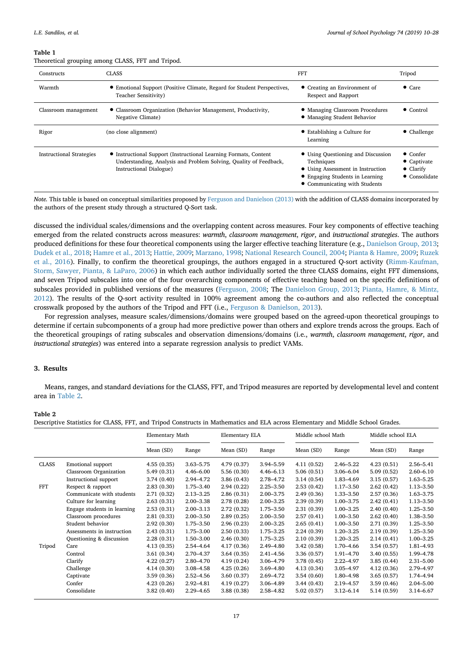#### <span id="page-8-0"></span>**Table 1**

Theoretical grouping among CLASS, FFT and Tripod.

| Constructs                      | <b>CLASS</b>                                                                                                                                                     | FFT                                                                                                                                                       | Tripod                                                                        |
|---------------------------------|------------------------------------------------------------------------------------------------------------------------------------------------------------------|-----------------------------------------------------------------------------------------------------------------------------------------------------------|-------------------------------------------------------------------------------|
| Warmth                          | • Emotional Support (Positive Climate, Regard for Student Perspectives,<br>Teacher Sensitivity)                                                                  | • Creating an Environment of<br>Respect and Rapport                                                                                                       | $\bullet$ Care                                                                |
| Classroom management            | • Classroom Organization (Behavior Management, Productivity,<br>Negative Climate)                                                                                | • Managing Classroom Procedures<br>• Managing Student Behavior                                                                                            | $\bullet$ Control                                                             |
| Rigor                           | (no close alignment)                                                                                                                                             | • Establishing a Culture for<br>Learning                                                                                                                  | • Challenge                                                                   |
| <b>Instructional Strategies</b> | • Instructional Support (Instructional Learning Formats, Content<br>Understanding, Analysis and Problem Solving, Quality of Feedback,<br>Instructional Dialogue) | • Using Questioning and Discussion<br>Techniques<br>• Using Assessment in Instruction<br>• Engaging Students in Learning<br>• Communicating with Students | $\bullet$ Confer<br>• Captivate<br>$\bullet$ Clarify<br>$\bullet$ Consolidate |

*Note.* This table is based on conceptual similarities proposed by [Ferguson and Danielson \(2013\)](#page-17-16) with the addition of CLASS domains incorporated by the authors of the present study through a structured Q-Sort task.

discussed the individual scales/dimensions and the overlapping content across measures. Four key components of effective teaching emerged from the related constructs across measures: *warmth*, *classroom management*, *rigor*, and *instructional strategies*. The authors produced definitions for these four theoretical components using the larger effective teaching literature (e.g., [Danielson Group, 2013](#page-17-9); [Dudek et al., 2018](#page-17-13); [Hamre et al., 2013;](#page-17-10) [Hattie, 2009;](#page-17-11) [Marzano, 1998](#page-18-5); [National Research Council, 2004](#page-18-9); [Pianta & Hamre, 2009](#page-18-10); [Ruzek](#page-18-6) [et al., 2016\)](#page-18-6). Finally, to confirm the theoretical groupings, the authors engaged in a structured Q-sort activity ([Rimm-Kaufman,](#page-18-39) [Storm, Sawyer, Pianta, & LaParo, 2006](#page-18-39)) in which each author individually sorted the three CLASS domains, eight FFT dimensions, and seven Tripod subscales into one of the four overarching components of effective teaching based on the specific definitions of subscales provided in published versions of the measures ([Ferguson, 2008;](#page-17-23) The [Danielson Group, 2013;](#page-17-9) [Pianta, Hamre, & Mintz,](#page-18-22) [2012\)](#page-18-22). The results of the Q-sort activity resulted in 100% agreement among the co-authors and also reflected the conceptual crosswalk proposed by the authors of the Tripod and FFT (i.e., [Ferguson & Danielson, 2013](#page-17-16)).

For regression analyses, measure scales/dimensions/domains were grouped based on the agreed-upon theoretical groupings to determine if certain subcomponents of a group had more predictive power than others and explore trends across the groups. Each of the theoretical groupings of rating subscales and observation dimensions/domains (i.e., *warmth*, *classroom management*, *rigor*, and *instructional strategies*) was entered into a separate regression analysis to predict VAMs.

## **3. Results**

Means, ranges, and standard deviations for the CLASS, FFT, and Tripod measures are reported by developmental level and content area in [Table 2](#page-8-1).

#### <span id="page-8-1"></span>**Table 2**

Descriptive Statistics for CLASS, FFT, and Tripod Constructs in Mathematics and ELA across Elementary and Middle School Grades.

|              |                             | Elementary Math |               | <b>Elementary ELA</b> |               | Middle school Math |               | Middle school ELA |               |
|--------------|-----------------------------|-----------------|---------------|-----------------------|---------------|--------------------|---------------|-------------------|---------------|
|              |                             | Mean (SD)       | Range         | Mean (SD)             | Range         | Mean (SD)          | Range         | Mean (SD)         | Range         |
| <b>CLASS</b> | <b>Emotional support</b>    | 4.55(0.35)      | $3.63 - 5.75$ | 4.79 (0.37)           | 3.94-5.59     | 4.11(0.52)         | 2.46-5.22     | 4.23(0.51)        | 2.56-5.41     |
|              | Classroom Organization      | 5.49(0.31)      | 4.46-6.00     | 5.56(0.30)            | $4.46 - 6.13$ | 5.06(0.51)         | 3.06-6.04     | 5.09(0.52)        | $2.60 - 6.10$ |
|              | Instructional support       | 3.74(0.40)      | 2.94-4.72     | 3.86(0.43)            | 2.78-4.72     | 3.14(0.54)         | 1.83-4.69     | 3.15(0.57)        | 1.63-5.25     |
| <b>FFT</b>   | Respect & rapport           | 2.83(0.30)      | 1.75-3.40     | 2.94(0.22)            | $2.25 - 3.50$ | 2.53(0.42)         | $1.17 - 3.50$ | 2.62(0.42)        | 1.13-3.50     |
|              | Communicate with students   | 2.71(0.32)      | $2.13 - 3.25$ | 2.86(0.31)            | $2.00 - 3.75$ | 2.49(0.36)         | 1.33-3.50     | 2.57(0.36)        | 1.63-3.75     |
|              | Culture for learning        | 2.63(0.31)      | $2.00 - 3.38$ | 2.78(0.28)            | $2.00 - 3.25$ | 2.39(0.39)         | 1.00-3.75     | 2.42(0.41)        | 1.13-3.50     |
|              | Engage students in learning | 2.53(0.31)      | $2.00 - 3.13$ | 2.72 (0.32)           | 1.75-3.50     | 2.31(0.39)         | $1.00 - 3.25$ | 2.40(0.40)        | 1.25-3.50     |
|              | Classroom procedures        | 2.81(0.33)      | $2.00 - 3.50$ | 2.89(0.25)            | $2.00 - 3.50$ | 2.57(0.41)         | $1.00 - 3.50$ | 2.62(0.40)        | 1.38-3.50     |
|              | Student behavior            | 2.92(0.30)      | 1.75-3.50     | 2.96(0.23)            | $2.00 - 3.25$ | 2.65(0.41)         | 1.00-3.50     | 2.71 (0.39)       | 1.25-3.50     |
|              | Assessments in instruction  | 2.43(0.31)      | 1.75-3.00     | 2.50(0.33)            | 1.75-3.25     | 2.24(0.39)         | $1.20 - 3.25$ | 2.19(0.39)        | 1.25-3.50     |
|              | Questioning & discussion    | 2.28(0.31)      | 1.50-3.00     | 2.46(0.30)            | 1.75-3.25     | 2.10(0.39)         | $1.20 - 3.25$ | 2.14(0.41)        | $1.00 - 3.25$ |
| Tripod       | Care                        | 4.13(0.35)      | 2.54-4.64     | 4.17(0.36)            | 2.49-4.80     | 3.42(0.58)         | 1.70-4.66     | 3.54(0.57)        | 1.81-4.93     |
|              | Control                     | 3.61(0.34)      | 2.70-4.37     | 3.64(0.35)            | $2.41 - 4.56$ | 3.36(0.57)         | 1.91-4.70     | 3.40(0.55)        | 1.99-4.78     |
|              | Clarify                     | 4.22(0.27)      | 2.80-4.70     | 4.19(0.24)            | 3.06-4.79     | 3.78(0.45)         | $2.22 - 4.97$ | 3.85(0.44)        | $2.31 - 5.00$ |
|              | Challenge                   | 4.14(0.30)      | 3.08-4.58     | 4.25(0.26)            | 3.69-4.80     | 4.13(0.34)         | 3.05-4.97     | 4.12(0.36)        | 2.79-4.97     |
|              | Captivate                   | 3.59(0.36)      | 2.52-4.56     | 3.60(0.37)            | 2.69-4.72     | 3.54(0.60)         | 1.80-4.98     | 3.65(0.57)        | 1.74-4.94     |
|              | Confer                      | 4.23(0.26)      | 2.92-4.81     | 4.19(0.27)            | 3.06-4.89     | 3.44(0.43)         | 2.19-4.57     | 3.59(0.46)        | 2.04-5.00     |
|              | Consolidate                 | 3.82(0.40)      | 2.29-4.65     | 3.88(0.38)            | 2.58-4.82     | 5.02(0.57)         | $3.12 - 6.14$ | 5.14 (0.59)       | 3.14-6.67     |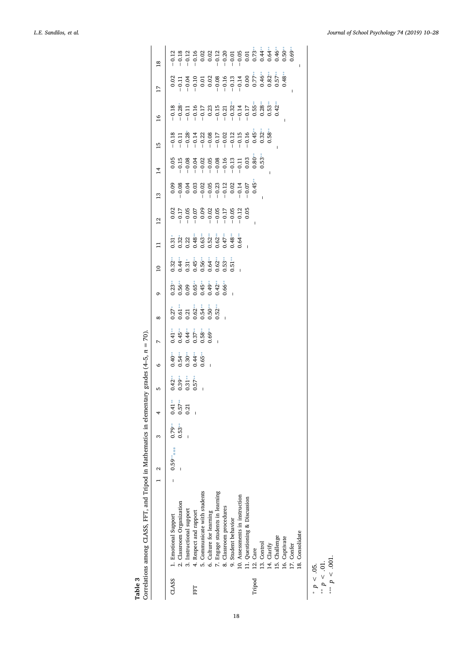<span id="page-9-3"></span><span id="page-9-2"></span><span id="page-9-1"></span><span id="page-9-0"></span>

| Table 3 | Correlations among CLASS, FFT, and Tripod in Mathematics in elementary grades (4-5, $n = 70$ ). |           |         |                    |                                                |                                                          |                                                                                                                       |                                                |                                                  |                                                                                        |                                                 |                                                                                                                                                                                                                                                                                                                                                  |               |                                                                                                                                                                                                                                                                                                                                                  |                     |                  |    |               |
|---------|-------------------------------------------------------------------------------------------------|-----------|---------|--------------------|------------------------------------------------|----------------------------------------------------------|-----------------------------------------------------------------------------------------------------------------------|------------------------------------------------|--------------------------------------------------|----------------------------------------------------------------------------------------|-------------------------------------------------|--------------------------------------------------------------------------------------------------------------------------------------------------------------------------------------------------------------------------------------------------------------------------------------------------------------------------------------------------|---------------|--------------------------------------------------------------------------------------------------------------------------------------------------------------------------------------------------------------------------------------------------------------------------------------------------------------------------------------------------|---------------------|------------------|----|---------------|
|         |                                                                                                 | $\sim$    |         | 4                  | S                                              | م                                                        | $\overline{ }$                                                                                                        | $^{\circ}$                                     | Ō                                                | $\overline{a}$                                                                         | ロ                                               | $\overline{12}$                                                                                                                                                                                                                                                                                                                                  | $\frac{3}{2}$ | $\overline{1}$                                                                                                                                                                                                                                                                                                                                   | 15                  | $\frac{6}{1}$    | 17 | $\frac{8}{2}$ |
| CLASS   | 1. Emotional Support                                                                            | $0.59***$ | 0.79    |                    |                                                |                                                          |                                                                                                                       | 0.27                                           |                                                  |                                                                                        | 0.31                                            |                                                                                                                                                                                                                                                                                                                                                  |               |                                                                                                                                                                                                                                                                                                                                                  |                     |                  |    |               |
|         | 2. Classroom Organization                                                                       |           | $53***$ | $0.57$ =<br>0.57 = |                                                |                                                          |                                                                                                                       |                                                |                                                  |                                                                                        |                                                 |                                                                                                                                                                                                                                                                                                                                                  |               |                                                                                                                                                                                                                                                                                                                                                  |                     |                  |    |               |
|         | 3. Instructional support                                                                        |           |         |                    | $0.42$<br>$0.39$<br>$0.31$<br>$0.57$<br>$0.57$ | $0.54$ =<br>$0.54$ =<br>$0.30$ =<br>$0.65$ =<br>$0.65$ = | $0.41$ = $0.45$ = $0.37$ = $0.58$ = $0.056$ = $0.069$ = $0.069$ = $0.069$ = $0.069$ = $0.069$ = $0.069$ = $0.069$ $-$ | $0.51$<br>$0.62$<br>$0.54$<br>$0.50$<br>$0.52$ | a<br>5000 400 400<br>5000 5000 5000<br>5000 5000 | $0.32^{**}$<br>$0.31^{**}$<br>$0.31^{**}$<br>$0.56^{**}$<br>$0.51^{**}$<br>$0.51^{**}$ | $32.22$<br>0.22<br>0.48<br>0.63<br>0.64<br>0.64 | $\begin{array}{r} 0.02 \\ -0.17 \\ -0.05 \\ -0.09 \\ -0.09 \\ -0.01 \\ -0.03 \\ -0.05 \\ -0.17 \\ -0.12 \\ -0.12 \\ -0.12 \\ -0.12 \\ -0.12 \\ -0.12 \\ -0.12 \\ -0.13 \\ -0.14 \\ -0.14 \\ -0.15 \\ -0.15 \\ -0.17 \\ -0.17 \\ -0.19 \\ -0.19 \\ -0.19 \\ -0.19 \\ -0.19 \\ -0.19 \\ -0.19 \\ -0.19 \\ -0.19 \\ -0.19 \\ -0.19 \\ -0.19 \\ -0.$ |               | $\begin{array}{r} 0.05 \\ -0.15 \\ -0.08 \\ -0.04 \\ -0.04 \\ -0.08 \\ -0.08 \\ -0.08 \\ -0.04 \\ -0.08 \\ -0.13 \\ -0.11 \\ -0.11 \\ -0.11 \\ -0.11 \\ -0.11 \\ -0.11 \\ -0.11 \\ -0.11 \\ -0.11 \\ -0.11 \\ -0.11 \\ -0.11 \\ -0.11 \\ -0.11 \\ -0.11 \\ -0.11 \\ -0.11 \\ -0.11 \\ -0.11 \\ -0.11 \\ -0.11 \\ -0.11 \\ -0.11 \\ -0.11 \\ -0.$ |                     |                  |    |               |
| E       | 4. Respect and rapport                                                                          |           |         |                    |                                                |                                                          |                                                                                                                       |                                                |                                                  |                                                                                        |                                                 |                                                                                                                                                                                                                                                                                                                                                  |               |                                                                                                                                                                                                                                                                                                                                                  |                     |                  |    |               |
|         | 5. Communicate with students                                                                    |           |         |                    |                                                |                                                          |                                                                                                                       |                                                |                                                  |                                                                                        |                                                 |                                                                                                                                                                                                                                                                                                                                                  |               |                                                                                                                                                                                                                                                                                                                                                  |                     |                  |    |               |
|         | 6. Culture for learning                                                                         |           |         |                    |                                                |                                                          |                                                                                                                       |                                                |                                                  |                                                                                        |                                                 |                                                                                                                                                                                                                                                                                                                                                  |               |                                                                                                                                                                                                                                                                                                                                                  |                     |                  |    |               |
|         | 7. Engage students in learning                                                                  |           |         |                    |                                                |                                                          |                                                                                                                       |                                                |                                                  |                                                                                        |                                                 |                                                                                                                                                                                                                                                                                                                                                  |               |                                                                                                                                                                                                                                                                                                                                                  |                     |                  |    |               |
|         | 8. Classroom procedures                                                                         |           |         |                    |                                                |                                                          |                                                                                                                       |                                                |                                                  |                                                                                        |                                                 |                                                                                                                                                                                                                                                                                                                                                  |               |                                                                                                                                                                                                                                                                                                                                                  |                     |                  |    |               |
|         | 9. Student behavior                                                                             |           |         |                    |                                                |                                                          |                                                                                                                       |                                                |                                                  |                                                                                        |                                                 |                                                                                                                                                                                                                                                                                                                                                  |               |                                                                                                                                                                                                                                                                                                                                                  |                     |                  |    |               |
|         | 10. Assessments in instruction                                                                  |           |         |                    |                                                |                                                          |                                                                                                                       |                                                |                                                  |                                                                                        |                                                 |                                                                                                                                                                                                                                                                                                                                                  |               |                                                                                                                                                                                                                                                                                                                                                  |                     |                  |    |               |
|         | 11. Questioning & Discussion                                                                    |           |         |                    |                                                |                                                          |                                                                                                                       |                                                |                                                  |                                                                                        |                                                 | 0.05                                                                                                                                                                                                                                                                                                                                             | $-0.07$       | 0.03                                                                                                                                                                                                                                                                                                                                             |                     |                  |    |               |
| Tripod  | 12. Care                                                                                        |           |         |                    |                                                |                                                          |                                                                                                                       |                                                |                                                  |                                                                                        |                                                 |                                                                                                                                                                                                                                                                                                                                                  | 0.45          | $0.80^{\circ}$                                                                                                                                                                                                                                                                                                                                   | 0.45                | $0.55^{\circ}$   |    |               |
|         | 13. Control                                                                                     |           |         |                    |                                                |                                                          |                                                                                                                       |                                                |                                                  |                                                                                        |                                                 |                                                                                                                                                                                                                                                                                                                                                  |               | 0.53                                                                                                                                                                                                                                                                                                                                             | $0.32$ <sup>*</sup> | 0.28             |    |               |
|         | 14. Clarify                                                                                     |           |         |                    |                                                |                                                          |                                                                                                                       |                                                |                                                  |                                                                                        |                                                 |                                                                                                                                                                                                                                                                                                                                                  |               |                                                                                                                                                                                                                                                                                                                                                  |                     | $0.53$<br>$0.42$ |    |               |
|         | 15. Challenge                                                                                   |           |         |                    |                                                |                                                          |                                                                                                                       |                                                |                                                  |                                                                                        |                                                 |                                                                                                                                                                                                                                                                                                                                                  |               |                                                                                                                                                                                                                                                                                                                                                  |                     |                  |    |               |
|         | 16. Captivate                                                                                   |           |         |                    |                                                |                                                          |                                                                                                                       |                                                |                                                  |                                                                                        |                                                 |                                                                                                                                                                                                                                                                                                                                                  |               |                                                                                                                                                                                                                                                                                                                                                  |                     |                  |    |               |
|         | 17. Confer                                                                                      |           |         |                    |                                                |                                                          |                                                                                                                       |                                                |                                                  |                                                                                        |                                                 |                                                                                                                                                                                                                                                                                                                                                  |               |                                                                                                                                                                                                                                                                                                                                                  |                     |                  |    |               |
|         | 18. Consolidate                                                                                 |           |         |                    |                                                |                                                          |                                                                                                                       |                                                |                                                  |                                                                                        |                                                 |                                                                                                                                                                                                                                                                                                                                                  |               |                                                                                                                                                                                                                                                                                                                                                  |                     |                  |    |               |
| p < .05 |                                                                                                 |           |         |                    |                                                |                                                          |                                                                                                                       |                                                |                                                  |                                                                                        |                                                 |                                                                                                                                                                                                                                                                                                                                                  |               |                                                                                                                                                                                                                                                                                                                                                  |                     |                  |    |               |

18

\*  $p < .05$ .<br>\*\*  $p < .01$ .<br>\*\*\*  $p < .01$ .  $p > 0.01$ .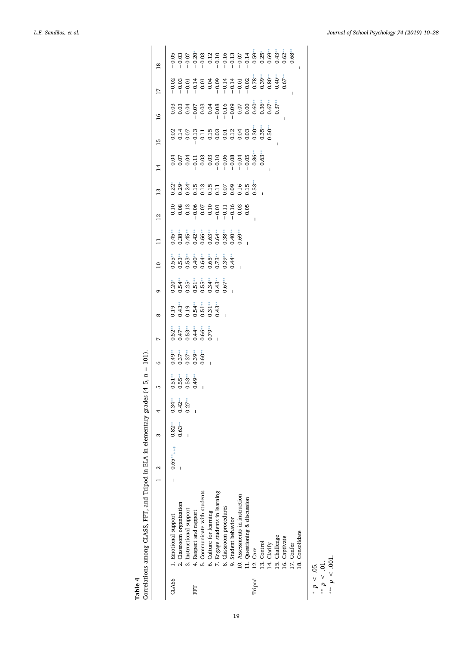<span id="page-10-3"></span><span id="page-10-2"></span><span id="page-10-1"></span><span id="page-10-0"></span>

| Table 4        | Correlations among CLASS, FFT, and Tripod in ELA in elementary grades $(4-5, n = 101)$ . |           |                  |                            |                            |                                      |                                                                      |                                                                    |                                                                                                                                                                                                                                                                                                                                        |                                                                                                                                                                                                                                                                                                                                               |                                                                                        |                 |               |                |    |                 |                 |                                                                                                                                                                                                                                                                                               |
|----------------|------------------------------------------------------------------------------------------|-----------|------------------|----------------------------|----------------------------|--------------------------------------|----------------------------------------------------------------------|--------------------------------------------------------------------|----------------------------------------------------------------------------------------------------------------------------------------------------------------------------------------------------------------------------------------------------------------------------------------------------------------------------------------|-----------------------------------------------------------------------------------------------------------------------------------------------------------------------------------------------------------------------------------------------------------------------------------------------------------------------------------------------|----------------------------------------------------------------------------------------|-----------------|---------------|----------------|----|-----------------|-----------------|-----------------------------------------------------------------------------------------------------------------------------------------------------------------------------------------------------------------------------------------------------------------------------------------------|
|                |                                                                                          | $\sim$    | $\infty$         | 4                          | S                          | $\circ$                              | $\overline{a}$                                                       | ∞                                                                  | ō                                                                                                                                                                                                                                                                                                                                      | $\overline{a}$                                                                                                                                                                                                                                                                                                                                | $\Xi$                                                                                  | $\overline{12}$ | $\frac{3}{2}$ | $\overline{1}$ | 15 | $\overline{16}$ | $\overline{17}$ | ≌                                                                                                                                                                                                                                                                                             |
| CLASS          | 1. Emotional support                                                                     | $0.65***$ |                  |                            |                            |                                      |                                                                      |                                                                    |                                                                                                                                                                                                                                                                                                                                        |                                                                                                                                                                                                                                                                                                                                               |                                                                                        |                 |               |                |    |                 |                 |                                                                                                                                                                                                                                                                                               |
|                | 2. Classroom organization                                                                |           | $0.82$<br>$0.63$ | $0.34$<br>$0.42$<br>$0.27$ | $0.51$<br>$0.55$<br>$0.49$ | $0.49$<br>$0.37$<br>$0.39$<br>$0.60$ | $25.53 + 25.5$<br>$0.47 + 25.5$<br>$0.53 + 25.5$<br>$0.55$<br>$0.55$ | $0.19$<br>$0.43$<br>$0.54$<br>$0.51$<br>$0.31$<br>$0.43$<br>$0.43$ | $\begin{array}{c} 5 \\ 0 \\ 0 \\ 0 \\ 0 \\ \hline \end{array} \begin{array}{c} 1 \\ 1 \\ 0 \\ 0 \\ 0 \\ 0 \\ \hline \end{array} \begin{array}{c} 1 \\ 1 \\ 0 \\ 0 \\ 0 \\ 0 \\ \hline \end{array} \begin{array}{c} 1 \\ 1 \\ 0 \\ 0 \\ 0 \\ 0 \\ \hline \end{array} \begin{array}{c} 1 \\ 1 \\ 0 \\ 0 \\ 0 \\ 0 \\ \hline \end{array}$ | $\frac{1}{10}$<br>$\frac{1}{10}$<br>$\frac{1}{10}$<br>$\frac{1}{10}$<br>$\frac{1}{10}$<br>$\frac{1}{10}$<br>$\frac{1}{10}$<br>$\frac{1}{10}$<br>$\frac{1}{10}$<br>$\frac{1}{10}$<br>$\frac{1}{10}$<br>$\frac{1}{10}$<br>$\frac{1}{10}$<br>$\frac{1}{10}$<br>$\frac{1}{10}$<br>$\frac{1}{10}$<br>$\frac{1}{10}$<br>$\frac{1}{10}$<br>$\frac{1$ | $0.38$<br>$0.38$<br>$0.43$<br>$0.63$<br>$0.63$<br>$0.63$<br>$0.63$<br>$0.63$<br>$0.63$ |                 |               |                |    |                 |                 | $\begin{array}{l} {0\  \  \, 0\  \  \, 0\  \  \, 0\  \  \, 0\  \  \, 0\  \  \, 0\  \  \, 0\  \  \, 0\  \  \, 0\  \  \, 0\  \  \, 0\  \  \, 0\  \  \, 0\  \  \, 0\  \  \, 0\  \  \, 0\  \  \, 0\  \  \, 0\  \  \, 0\  \  \, 0\  \  \, 0\  \  \, 0\  \  \, 0\  \  \, 0\  \  \, 0\  \  \, 0\  \$ |
|                | 3. Instructional support                                                                 |           |                  |                            |                            |                                      |                                                                      |                                                                    |                                                                                                                                                                                                                                                                                                                                        |                                                                                                                                                                                                                                                                                                                                               |                                                                                        |                 |               |                |    |                 |                 |                                                                                                                                                                                                                                                                                               |
| EFT            | 4. Respect and rapport                                                                   |           |                  |                            |                            |                                      |                                                                      |                                                                    |                                                                                                                                                                                                                                                                                                                                        |                                                                                                                                                                                                                                                                                                                                               |                                                                                        |                 |               |                |    |                 |                 |                                                                                                                                                                                                                                                                                               |
|                | 5. Communicate with students                                                             |           |                  |                            |                            |                                      |                                                                      |                                                                    |                                                                                                                                                                                                                                                                                                                                        |                                                                                                                                                                                                                                                                                                                                               |                                                                                        |                 |               |                |    |                 |                 |                                                                                                                                                                                                                                                                                               |
|                | 6. Culture for learning                                                                  |           |                  |                            |                            |                                      |                                                                      |                                                                    |                                                                                                                                                                                                                                                                                                                                        |                                                                                                                                                                                                                                                                                                                                               |                                                                                        |                 |               |                |    |                 |                 |                                                                                                                                                                                                                                                                                               |
|                | 7. Engage students in learning                                                           |           |                  |                            |                            |                                      |                                                                      |                                                                    |                                                                                                                                                                                                                                                                                                                                        |                                                                                                                                                                                                                                                                                                                                               |                                                                                        |                 |               |                |    |                 |                 |                                                                                                                                                                                                                                                                                               |
|                | 8. Classroom procedures                                                                  |           |                  |                            |                            |                                      |                                                                      |                                                                    |                                                                                                                                                                                                                                                                                                                                        |                                                                                                                                                                                                                                                                                                                                               |                                                                                        |                 |               |                |    |                 |                 |                                                                                                                                                                                                                                                                                               |
|                | 9. Student behavior                                                                      |           |                  |                            |                            |                                      |                                                                      |                                                                    |                                                                                                                                                                                                                                                                                                                                        |                                                                                                                                                                                                                                                                                                                                               |                                                                                        |                 |               |                |    |                 |                 |                                                                                                                                                                                                                                                                                               |
|                | 10. Assessments in instruction                                                           |           |                  |                            |                            |                                      |                                                                      |                                                                    |                                                                                                                                                                                                                                                                                                                                        |                                                                                                                                                                                                                                                                                                                                               |                                                                                        |                 |               |                |    |                 |                 |                                                                                                                                                                                                                                                                                               |
|                | 11. Questioning & discussion                                                             |           |                  |                            |                            |                                      |                                                                      |                                                                    |                                                                                                                                                                                                                                                                                                                                        |                                                                                                                                                                                                                                                                                                                                               |                                                                                        |                 |               |                |    |                 |                 |                                                                                                                                                                                                                                                                                               |
| Tripod         | 12. Care                                                                                 |           |                  |                            |                            |                                      |                                                                      |                                                                    |                                                                                                                                                                                                                                                                                                                                        |                                                                                                                                                                                                                                                                                                                                               |                                                                                        |                 |               |                |    |                 |                 |                                                                                                                                                                                                                                                                                               |
|                | 13. Control                                                                              |           |                  |                            |                            |                                      |                                                                      |                                                                    |                                                                                                                                                                                                                                                                                                                                        |                                                                                                                                                                                                                                                                                                                                               |                                                                                        |                 |               |                |    |                 |                 |                                                                                                                                                                                                                                                                                               |
|                |                                                                                          |           |                  |                            |                            |                                      |                                                                      |                                                                    |                                                                                                                                                                                                                                                                                                                                        |                                                                                                                                                                                                                                                                                                                                               |                                                                                        |                 |               |                |    |                 |                 |                                                                                                                                                                                                                                                                                               |
|                | 14. Clarify<br>15. Challenge<br>16. Captivate                                            |           |                  |                            |                            |                                      |                                                                      |                                                                    |                                                                                                                                                                                                                                                                                                                                        |                                                                                                                                                                                                                                                                                                                                               |                                                                                        |                 |               |                |    |                 |                 |                                                                                                                                                                                                                                                                                               |
|                |                                                                                          |           |                  |                            |                            |                                      |                                                                      |                                                                    |                                                                                                                                                                                                                                                                                                                                        |                                                                                                                                                                                                                                                                                                                                               |                                                                                        |                 |               |                |    |                 |                 |                                                                                                                                                                                                                                                                                               |
|                | 17. Confer                                                                               |           |                  |                            |                            |                                      |                                                                      |                                                                    |                                                                                                                                                                                                                                                                                                                                        |                                                                                                                                                                                                                                                                                                                                               |                                                                                        |                 |               |                |    |                 |                 |                                                                                                                                                                                                                                                                                               |
|                | 18. Consolidate                                                                          |           |                  |                            |                            |                                      |                                                                      |                                                                    |                                                                                                                                                                                                                                                                                                                                        |                                                                                                                                                                                                                                                                                                                                               |                                                                                        |                 |               |                |    |                 |                 |                                                                                                                                                                                                                                                                                               |
| $p \le 0.05$ . |                                                                                          |           |                  |                            |                            |                                      |                                                                      |                                                                    |                                                                                                                                                                                                                                                                                                                                        |                                                                                                                                                                                                                                                                                                                                               |                                                                                        |                 |               |                |    |                 |                 |                                                                                                                                                                                                                                                                                               |
| $p < .01$ .    |                                                                                          |           |                  |                            |                            |                                      |                                                                      |                                                                    |                                                                                                                                                                                                                                                                                                                                        |                                                                                                                                                                                                                                                                                                                                               |                                                                                        |                 |               |                |    |                 |                 |                                                                                                                                                                                                                                                                                               |
|                | $p > q$ **                                                                               |           |                  |                            |                            |                                      |                                                                      |                                                                    |                                                                                                                                                                                                                                                                                                                                        |                                                                                                                                                                                                                                                                                                                                               |                                                                                        |                 |               |                |    |                 |                 |                                                                                                                                                                                                                                                                                               |

| ;                                               |
|-------------------------------------------------|
| י<br>יווי דוני                                  |
|                                                 |
|                                                 |
|                                                 |
|                                                 |
| $\frac{1}{2}$ in $\frac{1}{2}$ in alamentary or |
|                                                 |
|                                                 |
|                                                 |
|                                                 |
| $\blacksquare$ and $\blacksquare$ and           |
|                                                 |
|                                                 |
|                                                 |
|                                                 |
|                                                 |
| į                                               |
| Ç                                               |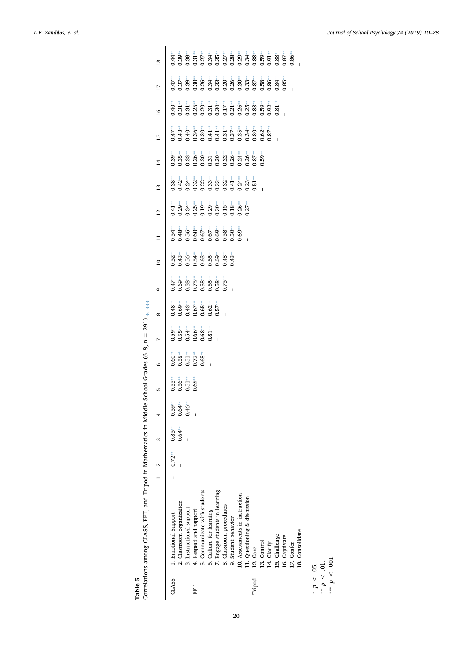<span id="page-11-2"></span><span id="page-11-1"></span><span id="page-11-0"></span>

| Table 5                     | Correlations among CLASS, FFT, and Tripod in Mathematics |   |           |                  |                               |                            |                                                | in Middle School Grades (6-8, $n = 291$ ).***                                                                                                                                                                                                                      |   |                                                                                        |                                                                                        |                                                                                                                                        |                                                                                                  |                                                                                                                                                                                                                                                                                                               |                |                                                                                            |                |                                                                                                                                  |                |
|-----------------------------|----------------------------------------------------------|---|-----------|------------------|-------------------------------|----------------------------|------------------------------------------------|--------------------------------------------------------------------------------------------------------------------------------------------------------------------------------------------------------------------------------------------------------------------|---|----------------------------------------------------------------------------------------|----------------------------------------------------------------------------------------|----------------------------------------------------------------------------------------------------------------------------------------|--------------------------------------------------------------------------------------------------|---------------------------------------------------------------------------------------------------------------------------------------------------------------------------------------------------------------------------------------------------------------------------------------------------------------|----------------|--------------------------------------------------------------------------------------------|----------------|----------------------------------------------------------------------------------------------------------------------------------|----------------|
|                             |                                                          |   |           |                  |                               |                            |                                                |                                                                                                                                                                                                                                                                    |   |                                                                                        |                                                                                        |                                                                                                                                        |                                                                                                  |                                                                                                                                                                                                                                                                                                               |                |                                                                                            |                |                                                                                                                                  |                |
|                             |                                                          |   | $\sim$    | 3                | 4                             | Б                          | G                                              | $\overline{a}$                                                                                                                                                                                                                                                     | ∞ | Ō                                                                                      | $\overline{10}$                                                                        | $\Xi$                                                                                                                                  | $\overline{12}$                                                                                  | $\frac{3}{2}$                                                                                                                                                                                                                                                                                                 | $\overline{4}$ | 15                                                                                         | $\frac{6}{2}$  | $\overline{17}$                                                                                                                  | $\frac{8}{2}$  |
| CLASS                       | 1. Emotional Support                                     | Ī | $0.72***$ |                  |                               |                            |                                                |                                                                                                                                                                                                                                                                    |   |                                                                                        |                                                                                        |                                                                                                                                        |                                                                                                  |                                                                                                                                                                                                                                                                                                               |                | 0.47                                                                                       | $0.40^{\circ}$ | 0.47                                                                                                                             | 0.44           |
|                             | 2. Classroom organization                                |   |           | $0.85$<br>$0.64$ | $0.59$ $-164$ $-0.46$ $-0.46$ | $0.55$<br>$0.51$<br>$0.68$ |                                                |                                                                                                                                                                                                                                                                    |   |                                                                                        |                                                                                        |                                                                                                                                        |                                                                                                  |                                                                                                                                                                                                                                                                                                               |                | 0.43                                                                                       |                | 0.37                                                                                                                             |                |
|                             | 3. Instructional support                                 |   |           |                  |                               |                            |                                                |                                                                                                                                                                                                                                                                    |   |                                                                                        |                                                                                        |                                                                                                                                        |                                                                                                  |                                                                                                                                                                                                                                                                                                               |                |                                                                                            |                |                                                                                                                                  | $0.39^{\circ}$ |
| EFT                         | 4. Respect and rapport                                   |   |           |                  |                               |                            | $0.60$<br>$0.58$<br>$0.51$<br>$0.72$<br>$0.68$ | $0.55 + 1.66 + 1.66 + 1.66 + 1.66 + 1.66 + 1.66 + 1.66 + 1.66 + 1.66 + 1.66 + 1.66 + 1.66 + 1.66 + 1.66 + 1.66 + 1.66 + 1.66 + 1.66 + 1.66 + 1.66 + 1.66 + 1.66 + 1.66 + 1.66 + 1.66 + 1.66 + 1.66 + 1.66 + 1.66 + 1.66 + 1.66 + 1.66 + 1.66 + 1.66 + 1.66 + 1.66$ |   | $0.47$<br>$0.69$<br>$0.38$<br>$0.58$<br>$0.58$<br>$0.58$<br>$0.58$<br>$0.75$<br>$0.75$ | $0.52$<br>$0.43$<br>$0.54$<br>$0.54$<br>$0.65$<br>$0.65$<br>$0.69$<br>$0.43$<br>$0.43$ | $\begin{array}{c} 1.54 \\ 0.48 \\ 0.60 \\ 0.60 \\ 0.60 \\ 0.60 \\ 0.60 \\ 0.60 \\ 0.69 \\ 0.69 \\ 0.69 \\ 0.69 \\ 0.69 \\ \end{array}$ | $0.41$<br>$0.34$<br>$0.34$<br>$0.19$<br>$0.29$<br>$0.39$<br>$0.39$<br>$0.36$<br>$0.36$<br>$0.36$ | $\begin{array}{l} 0.85 \\ 0.94 \\ 0.94 \\ 0.95 \\ 0.97 \\ 0.97 \\ 0.97 \\ 0.97 \\ 0.97 \\ 0.99 \\ 0.99 \\ 0.99 \\ 0.99 \\ 0.99 \\ 0.99 \\ 0.99 \\ 0.99 \\ 0.99 \\ 0.99 \\ 0.99 \\ 0.99 \\ 0.99 \\ 0.99 \\ 0.99 \\ 0.99 \\ 0.99 \\ 0.99 \\ 0.99 \\ 0.99 \\ 0.99 \\ 0.99 \\ 0.99 \\ 0.99 \\ 0.99 \\ 0.99 \\ 0.$ |                | $0.36$<br>$0.36$<br>$0.374$<br>$0.375$<br>$0.374$<br>$0.374$<br>$0.38$<br>$0.62$<br>$0.62$ |                |                                                                                                                                  |                |
|                             | 5. Communicate with students                             |   |           |                  |                               |                            |                                                |                                                                                                                                                                                                                                                                    |   |                                                                                        |                                                                                        |                                                                                                                                        |                                                                                                  |                                                                                                                                                                                                                                                                                                               |                |                                                                                            |                |                                                                                                                                  |                |
|                             | 6. Culture for learning                                  |   |           |                  |                               |                            |                                                |                                                                                                                                                                                                                                                                    |   |                                                                                        |                                                                                        |                                                                                                                                        |                                                                                                  |                                                                                                                                                                                                                                                                                                               |                |                                                                                            |                |                                                                                                                                  |                |
|                             | 7. Engage students in learning                           |   |           |                  |                               |                            |                                                |                                                                                                                                                                                                                                                                    |   |                                                                                        |                                                                                        |                                                                                                                                        |                                                                                                  |                                                                                                                                                                                                                                                                                                               |                |                                                                                            |                |                                                                                                                                  |                |
|                             | 8. Classroom procedures                                  |   |           |                  |                               |                            |                                                |                                                                                                                                                                                                                                                                    |   |                                                                                        |                                                                                        |                                                                                                                                        |                                                                                                  |                                                                                                                                                                                                                                                                                                               |                |                                                                                            |                |                                                                                                                                  |                |
|                             | 9. Student behavior                                      |   |           |                  |                               |                            |                                                |                                                                                                                                                                                                                                                                    |   |                                                                                        |                                                                                        |                                                                                                                                        |                                                                                                  |                                                                                                                                                                                                                                                                                                               |                |                                                                                            |                |                                                                                                                                  |                |
|                             | 10. Assessments in instruction                           |   |           |                  |                               |                            |                                                |                                                                                                                                                                                                                                                                    |   |                                                                                        |                                                                                        |                                                                                                                                        |                                                                                                  |                                                                                                                                                                                                                                                                                                               |                |                                                                                            |                |                                                                                                                                  |                |
|                             | 11. Questioning & discussion                             |   |           |                  |                               |                            |                                                |                                                                                                                                                                                                                                                                    |   |                                                                                        |                                                                                        |                                                                                                                                        | 0.27                                                                                             |                                                                                                                                                                                                                                                                                                               |                |                                                                                            |                |                                                                                                                                  |                |
| Tripod                      | 12. Care                                                 |   |           |                  |                               |                            |                                                |                                                                                                                                                                                                                                                                    |   |                                                                                        |                                                                                        |                                                                                                                                        |                                                                                                  |                                                                                                                                                                                                                                                                                                               |                |                                                                                            |                |                                                                                                                                  |                |
|                             | 13. Control                                              |   |           |                  |                               |                            |                                                |                                                                                                                                                                                                                                                                    |   |                                                                                        |                                                                                        |                                                                                                                                        |                                                                                                  |                                                                                                                                                                                                                                                                                                               |                |                                                                                            |                |                                                                                                                                  |                |
|                             | 14. Clarify                                              |   |           |                  |                               |                            |                                                |                                                                                                                                                                                                                                                                    |   |                                                                                        |                                                                                        |                                                                                                                                        |                                                                                                  |                                                                                                                                                                                                                                                                                                               |                |                                                                                            |                | $30.85$<br>$30.87$<br>$30.87$<br>$30.87$<br>$30.87$<br>$30.87$<br>$30.87$<br>$30.87$<br>$30.89$<br>$30.89$<br>$30.89$<br>$30.89$ |                |
|                             | 15. Challenge                                            |   |           |                  |                               |                            |                                                |                                                                                                                                                                                                                                                                    |   |                                                                                        |                                                                                        |                                                                                                                                        |                                                                                                  |                                                                                                                                                                                                                                                                                                               |                |                                                                                            |                |                                                                                                                                  |                |
|                             | 16. Captivate                                            |   |           |                  |                               |                            |                                                |                                                                                                                                                                                                                                                                    |   |                                                                                        |                                                                                        |                                                                                                                                        |                                                                                                  |                                                                                                                                                                                                                                                                                                               |                |                                                                                            |                |                                                                                                                                  | 0.87           |
|                             | 17. Confer                                               |   |           |                  |                               |                            |                                                |                                                                                                                                                                                                                                                                    |   |                                                                                        |                                                                                        |                                                                                                                                        |                                                                                                  |                                                                                                                                                                                                                                                                                                               |                |                                                                                            |                |                                                                                                                                  | 0.86           |
|                             | 18. Consolidate                                          |   |           |                  |                               |                            |                                                |                                                                                                                                                                                                                                                                    |   |                                                                                        |                                                                                        |                                                                                                                                        |                                                                                                  |                                                                                                                                                                                                                                                                                                               |                |                                                                                            |                |                                                                                                                                  |                |
| p < .01<br>$p \, < \, .05.$ |                                                          |   |           |                  |                               |                            |                                                |                                                                                                                                                                                                                                                                    |   |                                                                                        |                                                                                        |                                                                                                                                        |                                                                                                  |                                                                                                                                                                                                                                                                                                               |                |                                                                                            |                |                                                                                                                                  |                |
|                             | $1001 \geq d$ **                                         |   |           |                  |                               |                            |                                                |                                                                                                                                                                                                                                                                    |   |                                                                                        |                                                                                        |                                                                                                                                        |                                                                                                  |                                                                                                                                                                                                                                                                                                               |                |                                                                                            |                |                                                                                                                                  |                |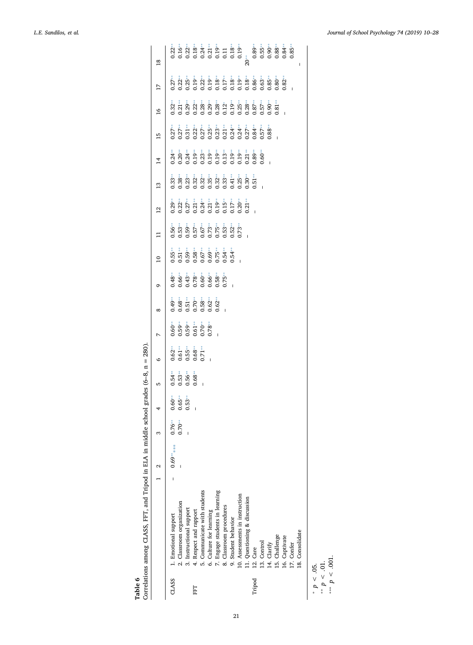<span id="page-12-3"></span><span id="page-12-2"></span><span id="page-12-1"></span><span id="page-12-0"></span>

| Table 6     | Correlations among CLASS, FFT, and Tripod in ELA in middle school grades (6-8, $n = 280$ ). |                |                  |                            |                                                                           |                                                    |                                                          |                                                                    |   |                                                                                                                                                                                                                                                                                                               |       |                 |               |                |                                                                                                                                                                                                                                                                                                                                                                                        |               |                                                                                                                                                                                                                                                                                                                     |                                                                                                                                                                                                                              |
|-------------|---------------------------------------------------------------------------------------------|----------------|------------------|----------------------------|---------------------------------------------------------------------------|----------------------------------------------------|----------------------------------------------------------|--------------------------------------------------------------------|---|---------------------------------------------------------------------------------------------------------------------------------------------------------------------------------------------------------------------------------------------------------------------------------------------------------------|-------|-----------------|---------------|----------------|----------------------------------------------------------------------------------------------------------------------------------------------------------------------------------------------------------------------------------------------------------------------------------------------------------------------------------------------------------------------------------------|---------------|---------------------------------------------------------------------------------------------------------------------------------------------------------------------------------------------------------------------------------------------------------------------------------------------------------------------|------------------------------------------------------------------------------------------------------------------------------------------------------------------------------------------------------------------------------|
|             |                                                                                             | $\overline{a}$ | S                | 4                          | S                                                                         | $\circ$                                            | $\overline{a}$                                           | $\infty$                                                           | G | $\overline{a}$                                                                                                                                                                                                                                                                                                | $\Xi$ | $\overline{12}$ | $\frac{3}{2}$ | $\overline{4}$ | 15                                                                                                                                                                                                                                                                                                                                                                                     | $\frac{6}{2}$ | $\overline{17}$                                                                                                                                                                                                                                                                                                     | $\frac{8}{2}$                                                                                                                                                                                                                |
| CLASS       | 1. Emotional support                                                                        | $0.69***$      | $0.76$<br>$0.70$ |                            |                                                                           |                                                    |                                                          |                                                                    |   |                                                                                                                                                                                                                                                                                                               |       |                 |               |                |                                                                                                                                                                                                                                                                                                                                                                                        |               |                                                                                                                                                                                                                                                                                                                     |                                                                                                                                                                                                                              |
|             | 2. Classroom organization                                                                   |                |                  | $0.60$<br>$0.65$<br>$0.53$ | $\frac{1}{4}$ $\frac{5}{10}$ $\frac{5}{10}$ $\frac{5}{10}$ $\frac{5}{10}$ |                                                    |                                                          |                                                                    |   |                                                                                                                                                                                                                                                                                                               |       |                 |               |                |                                                                                                                                                                                                                                                                                                                                                                                        |               |                                                                                                                                                                                                                                                                                                                     |                                                                                                                                                                                                                              |
|             | 3. Instructional support                                                                    |                |                  |                            |                                                                           |                                                    |                                                          |                                                                    |   |                                                                                                                                                                                                                                                                                                               |       |                 |               |                |                                                                                                                                                                                                                                                                                                                                                                                        |               |                                                                                                                                                                                                                                                                                                                     |                                                                                                                                                                                                                              |
| E           | 4. Respect and rapport                                                                      |                |                  |                            |                                                                           | $0.62$<br>$0.61$<br>$0.55$<br>$0.68$<br>$0.71$ $-$ |                                                          |                                                                    |   |                                                                                                                                                                                                                                                                                                               |       |                 |               |                |                                                                                                                                                                                                                                                                                                                                                                                        |               |                                                                                                                                                                                                                                                                                                                     |                                                                                                                                                                                                                              |
|             | 5. Communicate with students<br>6. Culture for learning                                     |                |                  |                            |                                                                           |                                                    | $0.60$ =<br>$0.59$ =<br>$0.61$ =<br>$0.70$ =<br>$0.78$ = | $0.49$<br>$0.68$<br>$0.51$<br>$0.70$<br>$0.58$<br>$0.62$<br>$0.62$ |   | $\begin{array}{l} 1.55 \\ 1.51 \\ 0.59 \\ 0.69 \\ 0.69 \\ 0.69 \\ 0.69 \\ 0.69 \\ 0.69 \\ 0.61 \\ 0.61 \\ 0.64 \\ 0.64 \\ 0.64 \\ 0.65 \\ 0.65 \\ 0.67 \\ 0.67 \\ 0.67 \\ 0.67 \\ 0.67 \\ 0.67 \\ 0.67 \\ 0.67 \\ 0.67 \\ 0.67 \\ 0.67 \\ 0.67 \\ 0.67 \\ 0.67 \\ 0.67 \\ 0.67 \\ 0.67 \\ 0.67 \\ 0.67 \\ 0.$ |       |                 |               |                | $\frac{2}{3}$<br>$\frac{2}{3}$<br>$\frac{1}{3}$<br>$\frac{1}{3}$<br>$\frac{1}{3}$<br>$\frac{1}{3}$<br>$\frac{1}{3}$<br>$\frac{1}{3}$<br>$\frac{1}{3}$<br>$\frac{1}{3}$<br>$\frac{1}{3}$<br>$\frac{1}{3}$<br>$\frac{1}{3}$<br>$\frac{1}{3}$<br>$\frac{1}{3}$<br>$\frac{1}{3}$<br>$\frac{1}{3}$<br>$\frac{1}{3}$<br>$\frac{1}{3}$<br>$\frac{1}{3}$<br>$\frac{1}{3}$<br>$\frac{1}{3}$<br> |               | $\frac{1}{2}$ $\frac{1}{2}$ $\frac{1}{2}$ $\frac{1}{2}$ $\frac{1}{2}$ $\frac{1}{2}$ $\frac{1}{2}$ $\frac{1}{2}$ $\frac{1}{2}$ $\frac{1}{2}$ $\frac{1}{2}$ $\frac{1}{2}$ $\frac{1}{2}$ $\frac{1}{2}$ $\frac{1}{2}$ $\frac{1}{2}$ $\frac{1}{2}$ $\frac{1}{2}$ $\frac{1}{2}$ $\frac{1}{2}$ $\frac{1}{2}$ $\frac{1}{2}$ | $\begin{array}{l} 0.22^{\ast\ast} \\ 0.16^{\ast\ast} \\ 0.18^{\ast\ast} \\ 0.24^{\ast\ast} \\ 0.13^{\ast\ast} \\ 0.19^{\ast\ast} \\ 0.19^{\ast\ast} \\ 0.19^{\ast\ast} \\ 0.19^{\ast\ast} \\ 0.19^{\ast\ast} \\ \end{array}$ |
|             | 7. Engage students in learning                                                              |                |                  |                            |                                                                           |                                                    |                                                          |                                                                    |   |                                                                                                                                                                                                                                                                                                               |       |                 |               |                |                                                                                                                                                                                                                                                                                                                                                                                        |               |                                                                                                                                                                                                                                                                                                                     |                                                                                                                                                                                                                              |
|             | 8. Classroom procedures                                                                     |                |                  |                            |                                                                           |                                                    |                                                          |                                                                    |   |                                                                                                                                                                                                                                                                                                               |       |                 |               |                |                                                                                                                                                                                                                                                                                                                                                                                        |               |                                                                                                                                                                                                                                                                                                                     |                                                                                                                                                                                                                              |
|             | 9. Student behavior                                                                         |                |                  |                            |                                                                           |                                                    |                                                          |                                                                    |   |                                                                                                                                                                                                                                                                                                               |       |                 |               |                |                                                                                                                                                                                                                                                                                                                                                                                        |               |                                                                                                                                                                                                                                                                                                                     |                                                                                                                                                                                                                              |
|             | 10. Assessments in instruction                                                              |                |                  |                            |                                                                           |                                                    |                                                          |                                                                    |   |                                                                                                                                                                                                                                                                                                               |       |                 |               |                |                                                                                                                                                                                                                                                                                                                                                                                        |               |                                                                                                                                                                                                                                                                                                                     |                                                                                                                                                                                                                              |
|             | 11. Questioning & discussion                                                                |                |                  |                            |                                                                           |                                                    |                                                          |                                                                    |   |                                                                                                                                                                                                                                                                                                               |       |                 |               |                |                                                                                                                                                                                                                                                                                                                                                                                        |               |                                                                                                                                                                                                                                                                                                                     |                                                                                                                                                                                                                              |
| Tripod      | 12. Care                                                                                    |                |                  |                            |                                                                           |                                                    |                                                          |                                                                    |   |                                                                                                                                                                                                                                                                                                               |       |                 |               |                |                                                                                                                                                                                                                                                                                                                                                                                        |               |                                                                                                                                                                                                                                                                                                                     |                                                                                                                                                                                                                              |
|             | 13. Control                                                                                 |                |                  |                            |                                                                           |                                                    |                                                          |                                                                    |   |                                                                                                                                                                                                                                                                                                               |       |                 |               |                |                                                                                                                                                                                                                                                                                                                                                                                        |               |                                                                                                                                                                                                                                                                                                                     |                                                                                                                                                                                                                              |
|             | 14. Clarify<br>15. Challenge                                                                |                |                  |                            |                                                                           |                                                    |                                                          |                                                                    |   |                                                                                                                                                                                                                                                                                                               |       |                 |               |                |                                                                                                                                                                                                                                                                                                                                                                                        |               |                                                                                                                                                                                                                                                                                                                     | $20^{**}$<br>$0.89^{**}$<br>$0.55^{**}$<br>$0.90^{**}$<br>$0.88^{**}$<br>$0.84^{**}$                                                                                                                                         |
|             |                                                                                             |                |                  |                            |                                                                           |                                                    |                                                          |                                                                    |   |                                                                                                                                                                                                                                                                                                               |       |                 |               |                |                                                                                                                                                                                                                                                                                                                                                                                        |               |                                                                                                                                                                                                                                                                                                                     |                                                                                                                                                                                                                              |
|             | 16. Captivate                                                                               |                |                  |                            |                                                                           |                                                    |                                                          |                                                                    |   |                                                                                                                                                                                                                                                                                                               |       |                 |               |                |                                                                                                                                                                                                                                                                                                                                                                                        |               |                                                                                                                                                                                                                                                                                                                     |                                                                                                                                                                                                                              |
|             | 17. Confer                                                                                  |                |                  |                            |                                                                           |                                                    |                                                          |                                                                    |   |                                                                                                                                                                                                                                                                                                               |       |                 |               |                |                                                                                                                                                                                                                                                                                                                                                                                        |               |                                                                                                                                                                                                                                                                                                                     | 0.85                                                                                                                                                                                                                         |
|             | 18. Consolidate                                                                             |                |                  |                            |                                                                           |                                                    |                                                          |                                                                    |   |                                                                                                                                                                                                                                                                                                               |       |                 |               |                |                                                                                                                                                                                                                                                                                                                                                                                        |               |                                                                                                                                                                                                                                                                                                                     |                                                                                                                                                                                                                              |
| $p < .05$ . |                                                                                             |                |                  |                            |                                                                           |                                                    |                                                          |                                                                    |   |                                                                                                                                                                                                                                                                                                               |       |                 |               |                |                                                                                                                                                                                                                                                                                                                                                                                        |               |                                                                                                                                                                                                                                                                                                                     |                                                                                                                                                                                                                              |
| p < .01     |                                                                                             |                |                  |                            |                                                                           |                                                    |                                                          |                                                                    |   |                                                                                                                                                                                                                                                                                                               |       |                 |               |                |                                                                                                                                                                                                                                                                                                                                                                                        |               |                                                                                                                                                                                                                                                                                                                     |                                                                                                                                                                                                                              |
|             | $1001 \approx p \approx 1001$                                                               |                |                  |                            |                                                                           |                                                    |                                                          |                                                                    |   |                                                                                                                                                                                                                                                                                                               |       |                 |               |                |                                                                                                                                                                                                                                                                                                                                                                                        |               |                                                                                                                                                                                                                                                                                                                     |                                                                                                                                                                                                                              |

*L.E. Sandilos, et al. Journal of School Psychology 74 (2019) 10–28*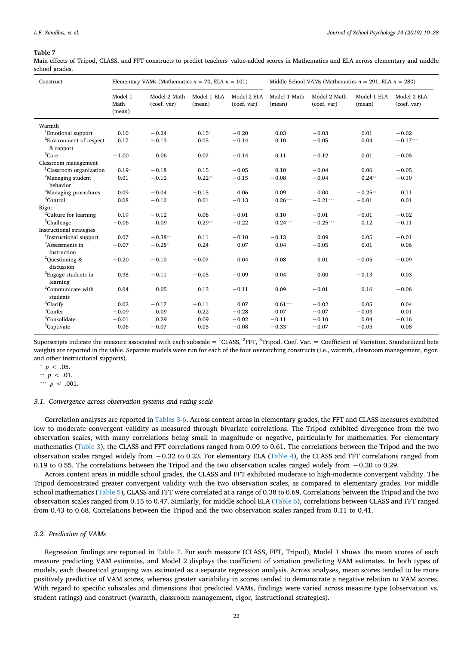#### <span id="page-13-0"></span>**Table 7**

Main effects of Tripod, CLASS, and FFT constructs to predict teachers' value-added scores in Mathematics and ELA across elementary and middle school grades.

| Construct                                 |                           | Elementary VAMs (Mathematics $n = 70$ , ELA $n = 101$ ) |                       |                            |                        | Middle School VAMs (Mathematics $n = 291$ , ELA $n = 280$ ) |                       |                            |
|-------------------------------------------|---------------------------|---------------------------------------------------------|-----------------------|----------------------------|------------------------|-------------------------------------------------------------|-----------------------|----------------------------|
|                                           | Model 1<br>Math<br>(mean) | Model 2 Math<br>(coef. var)                             | Model 1 ELA<br>(mean) | Model 2 ELA<br>(coef. var) | Model 1 Math<br>(mean) | Model 2 Math<br>(coef. var)                                 | Model 1 ELA<br>(mean) | Model 2 ELA<br>(coef. var) |
| Warmth                                    |                           |                                                         |                       |                            |                        |                                                             |                       |                            |
| <sup>1</sup> Emotional support            | 0.10                      | $-0.24$                                                 | $0.15*$               | $-0.20$                    | 0.03                   | $-0.03$                                                     | 0.01                  | $-0.02$                    |
| <sup>2</sup> Environment of respect       | 0.17                      | $-0.13$                                                 | 0.05                  | $-0.14$                    | 0.10                   | $-0.05$                                                     | 0.04                  | $-0.17***$                 |
| & rapport                                 |                           |                                                         |                       |                            |                        |                                                             |                       |                            |
| <sup>3</sup> Care                         | $-1.00$                   | 0.06                                                    | 0.07                  | $-0.14$                    | 0.11                   | $-0.12$                                                     | 0.01                  | $-0.05$                    |
| Classroom management                      |                           |                                                         |                       |                            |                        |                                                             |                       |                            |
| <sup>1</sup> Classroom organization       | $0.19*$                   | $-0.18$                                                 | 0.15                  | $-0.05$                    | 0.10                   | $-0.04$                                                     | 0.06                  | $-0.05$                    |
| <sup>2</sup> Managing student<br>behavior | 0.01                      | $-0.12$                                                 | $0.22**$              | $-0.15$                    | $-0.08$                | $-0.04$                                                     | $0.24**$              | $-0.10$                    |
| <sup>2</sup> Managing procedures          | 0.09                      | $-0.04$                                                 | $-0.15$               | 0.06                       | 0.09                   | 0.00                                                        | $-0.25**$             | 0.11                       |
| <sup>3</sup> Control                      | 0.08                      | $-0.10$                                                 | 0.01                  | $-0.13$                    | $0.26***$              | $-0.21***$                                                  | $-0.01$               | 0.01                       |
| Rigor                                     |                           |                                                         |                       |                            |                        |                                                             |                       |                            |
| <sup>2</sup> Culture for learning         | 0.19                      | $-0.12$                                                 | 0.08                  | $-0.01$                    | 0.10                   | $-0.01$                                                     | $-0.01$               | $-0.02$                    |
| <sup>3</sup> Challenge                    | $-0.06$                   | 0.09                                                    | $0.29**$              | $-0.22$                    | $0.24***$              | $-0.25***$                                                  | 0.12                  | $-0.11$                    |
| Instructional strategies                  |                           |                                                         |                       |                            |                        |                                                             |                       |                            |
| <sup>1</sup> Instructional support        | 0.07                      | $-0.38**$                                               | 0.11                  | $-0.10$                    | $-0.13$                | 0.09                                                        | 0.05                  | $-0.01$                    |
| $2$ Assessments in                        | $-0.07$                   | $-0.28*$                                                | 0.24                  | 0.07                       | 0.04                   | $-0.05$                                                     | 0.01                  | 0.06                       |
| instruction                               |                           |                                                         |                       |                            |                        |                                                             |                       |                            |
| $2$ Questioning &<br>discussion           | $-0.20$                   | $-0.10$                                                 | $-0.07$               | 0.04                       | 0.08                   | 0.01                                                        | $-0.05$               | $-0.09$                    |
| ${}^{2}$ Engage students in<br>learning   | 0.38                      | $-0.11$                                                 | $-0.05$               | $-0.09$                    | 0.04                   | 0.00                                                        | $-0.13$               | 0.03                       |
| <sup>2</sup> Communicate with<br>students | 0.04                      | 0.05                                                    | 0.13                  | $-0.11$                    | 0.09                   | $-0.01$                                                     | 0.16                  | $-0.06$                    |
| <sup>3</sup> Clarify                      | 0.02                      | $-0.17$                                                 | $-0.11$               | 0.07                       | $0.61***$              | $-0.02$                                                     | 0.05                  | 0.04                       |
| <sup>3</sup> Confer                       | $-0.09$                   | 0.09                                                    | 0.22                  | $-0.28$                    | 0.07                   | $-0.07$                                                     | $-0.03$               | 0.01                       |
| <sup>3</sup> Consolidate                  | $-0.01$                   | 0.29                                                    | 0.09                  | $-0.02$                    | $-0.11$                | $-0.10$                                                     | 0.04                  | $-0.16$                    |
| <sup>3</sup> Captivate                    | 0.06                      | $-0.07$                                                 | 0.05                  | $-0.08$                    | $-0.33*$               | $-0.07$                                                     | $-0.05$               | 0.08                       |
|                                           |                           |                                                         |                       |                            |                        |                                                             |                       |                            |

Superscripts indicate the measure associated with each subscale =  $^1$ CLASS,  $^2$ FFT,  $^3$ Tripod. Coef. Var. = Coefficient of Variation. Standardized beta weights are reported in the table. Separate models were run for each of the four overarching constructs (i.e., warmth, classroom management, rigor, and other instructional supports).

<span id="page-13-1"></span> $p < .05$ .

<span id="page-13-3"></span>\*\*  $p$  < .01.

<span id="page-13-2"></span>\*\*\*  $p$  < .001.

### *3.1. Convergence across observation systems and rating scale*

Correlation analyses are reported in [Tables 3-6.](#page-9-3) Across content areas in elementary grades, the FFT and CLASS measures exhibited low to moderate convergent validity as measured through bivariate correlations. The Tripod exhibited divergence from the two observation scales, with many correlations being small in magnitude or negative, particularly for mathematics. For elementary mathematics [\(Table 3\)](#page-9-3), the CLASS and FFT correlations ranged from 0.09 to 0.61. The correlations between the Tripod and the two observation scales ranged widely from −0.32 to 0.23. For elementary ELA [\(Table 4](#page-10-3)), the CLASS and FFT correlations ranged from 0.19 to 0.55. The correlations between the Tripod and the two observation scales ranged widely from −0.20 to 0.29.

Across content areas in middle school grades, the CLASS and FFT exhibited moderate to high-moderate convergent validity. The Tripod demonstrated greater convergent validity with the two observation scales, as compared to elementary grades. For middle school mathematics [\(Table 5\)](#page-11-2), CLASS and FFT were correlated at a range of 0.38 to 0.69. Correlations between the Tripod and the two observation scales ranged from 0.15 to 0.47. Similarly, for middle school ELA [\(Table 6](#page-12-3)), correlations between CLASS and FFT ranged from 0.43 to 0.68. Correlations between the Tripod and the two observation scales ranged from 0.11 to 0.41.

### *3.2. Prediction of VAMs*

Regression findings are reported in [Table 7.](#page-13-0) For each measure (CLASS, FFT, Tripod), Model 1 shows the mean scores of each measure predicting VAM estimates, and Model 2 displays the coefficient of variation predicting VAM estimates. In both types of models, each theoretical grouping was estimated as a separate regression analysis. Across analyses, mean scores tended to be more positively predictive of VAM scores, whereas greater variability in scores tended to demonstrate a negative relation to VAM scores. With regard to specific subscales and dimensions that predicted VAMs, findings were varied across measure type (observation vs. student ratings) and construct (warmth, classroom management, rigor, instructional strategies).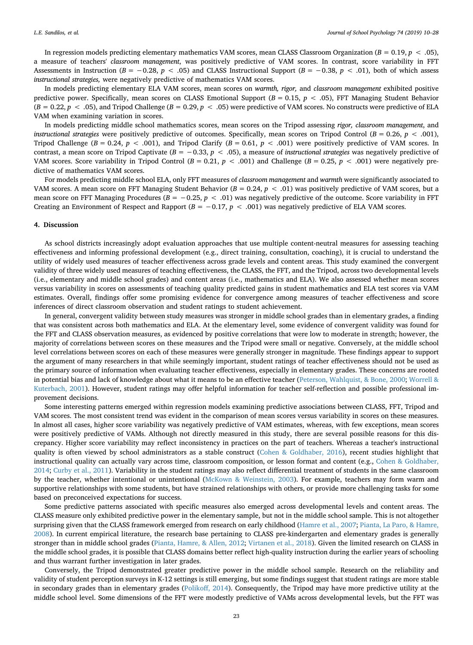In regression models predicting elementary mathematics VAM scores, mean CLASS Classroom Organization ( $B = 0.19$ ,  $p < .05$ ), a measure of teachers' *classroom management*, was positively predictive of VAM scores. In contrast, score variability in FFT Assessments in Instruction (*B* = −0.28, *p* < .05) and CLASS Instructional Support (*B* = −0.38, *p* < .01), both of which assess *instructional strategies,* were negatively predictive of mathematics VAM scores.

In models predicting elementary ELA VAM scores, mean scores on *warmth, rigor,* and *classroom management* exhibited positive predictive power. Specifically, mean scores on CLASS Emotional Support  $(B = 0.15, p < .05)$ , FFT Managing Student Behavior  $(B = 0.22, p < .05)$ , and Tripod Challenge  $(B = 0.29, p < .05)$  were predictive of VAM scores. No constructs were predictive of ELA VAM when examining variation in scores.

In models predicting middle school mathematics scores, mean scores on the Tripod assessing *rigor, classroom management*, and *instructional strategies* were positively predictive of outcomes. Specifically, mean scores on Tripod Control (*B* = 0.26, *p* < .001), Tripod Challenge ( $B = 0.24$ ,  $p < .001$ ), and Tripod Clarify ( $B = 0.61$ ,  $p < .001$ ) were positively predictive of VAM scores. In contrast, a mean score on Tripod Captivate (*B* = −0.33, *p* < .05), a measure of *instructional strategies* was negatively predictive of VAM scores. Score variability in Tripod Control  $(B = 0.21, p < .001)$  and Challenge  $(B = 0.25, p < .001)$  were negatively predictive of mathematics VAM scores.

For models predicting middle school ELA, only FFT measures of *classroom management* and *warmth* were significantly associated to VAM scores. A mean score on FFT Managing Student Behavior (*B* = 0.24, *p* < .01) was positively predictive of VAM scores, but a mean score on FFT Managing Procedures  $(B = -0.25, p < .01)$  was negatively predictive of the outcome. Score variability in FFT Creating an Environment of Respect and Rapport  $(B = -0.17, p < .001)$  was negatively predictive of ELA VAM scores.

#### **4. Discussion**

As school districts increasingly adopt evaluation approaches that use multiple content-neutral measures for assessing teaching effectiveness and informing professional development (e.g., direct training, consultation, coaching), it is crucial to understand the utility of widely used measures of teacher effectiveness across grade levels and content areas. This study examined the convergent validity of three widely used measures of teaching effectiveness, the CLASS, the FFT, and the Tripod, across two developmental levels (i.e., elementary and middle school grades) and content areas (i.e., mathematics and ELA). We also assessed whether mean scores versus variability in scores on assessments of teaching quality predicted gains in student mathematics and ELA test scores via VAM estimates. Overall, findings offer some promising evidence for convergence among measures of teacher effectiveness and score inferences of direct classroom observation and student ratings to student achievement.

In general, convergent validity between study measures was stronger in middle school grades than in elementary grades, a finding that was consistent across both mathematics and ELA. At the elementary level, some evidence of convergent validity was found for the FFT and CLASS observation measures, as evidenced by positive correlations that were low to moderate in strength; however, the majority of correlations between scores on these measures and the Tripod were small or negative. Conversely, at the middle school level correlations between scores on each of these measures were generally stronger in magnitude. These findings appear to support the argument of many researchers in that while seemingly important, student ratings of teacher effectiveness should not be used as the primary source of information when evaluating teacher effectiveness, especially in elementary grades. These concerns are rooted in potential bias and lack of knowledge about what it means to be an effective teacher ([Peterson, Wahlquist, & Bone, 2000;](#page-18-40) [Worrell &](#page-19-3) [Kuterbach, 2001](#page-19-3)). However, student ratings may offer helpful information for teacher self-reflection and possible professional improvement decisions.

Some interesting patterns emerged within regression models examining predictive associations between CLASS, FFT, Tripod and VAM scores. The most consistent trend was evident in the comparison of mean scores versus variability in scores on these measures. In almost all cases, higher score variability was negatively predictive of VAM estimates, whereas, with few exceptions, mean scores were positively predictive of VAMs. Although not directly measured in this study, there are several possible reasons for this discrepancy. Higher score variability may reflect inconsistency in practices on the part of teachers. Whereas a teacher's instructional quality is often viewed by school administrators as a stable construct [\(Cohen & Goldhaber, 2016](#page-17-1)), recent studies highlight that instructional quality can actually vary across time, classroom composition, or lesson format and content (e.g., [Cohen & Goldhaber,](#page-17-39) [2014;](#page-17-39) [Curby et al., 2011](#page-17-40)). Variability in the student ratings may also reflect differential treatment of students in the same classroom by the teacher, whether intentional or unintentional [\(McKown & Weinstein, 2003](#page-18-15)). For example, teachers may form warm and supportive relationships with some students, but have strained relationships with others, or provide more challenging tasks for some based on preconceived expectations for success.

Some predictive patterns associated with specific measures also emerged across developmental levels and content areas. The CLASS measure only exhibited predictive power in the elementary sample, but not in the middle school sample. This is not altogether surprising given that the CLASS framework emerged from research on early childhood [\(Hamre et al., 2007](#page-17-19); [Pianta, La Paro, & Hamre,](#page-18-41) [2008\)](#page-18-41). In current empirical literature, the research base pertaining to CLASS pre-kindergarten and elementary grades is generally stronger than in middle school grades [\(Pianta, Hamre, & Allen, 2012](#page-18-42); [Virtanen et al., 2018\)](#page-18-43). Given the limited research on CLASS in the middle school grades, it is possible that CLASS domains better reflect high-quality instruction during the earlier years of schooling and thus warrant further investigation in later grades.

Conversely, the Tripod demonstrated greater predictive power in the middle school sample. Research on the reliability and validity of student perception surveys in K-12 settings is still emerging, but some findings suggest that student ratings are more stable in secondary grades than in elementary grades [\(Polikoff, 2014\)](#page-18-21). Consequently, the Tripod may have more predictive utility at the middle school level. Some dimensions of the FFT were modestly predictive of VAMs across developmental levels, but the FFT was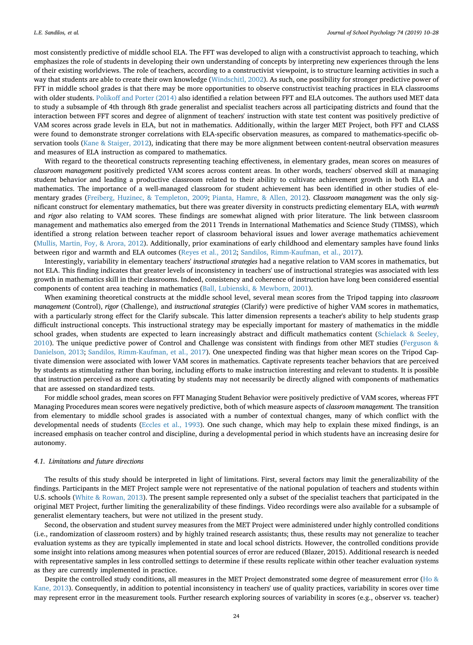most consistently predictive of middle school ELA. The FFT was developed to align with a constructivist approach to teaching, which emphasizes the role of students in developing their own understanding of concepts by interpreting new experiences through the lens of their existing worldviews. The role of teachers, according to a constructivist viewpoint, is to structure learning activities in such a way that students are able to create their own knowledge [\(Windschitl, 2002](#page-19-4)). As such, one possibility for stronger predictive power of FFT in middle school grades is that there may be more opportunities to observe constructivist teaching practices in ELA classrooms with older students. [Polikoff and Porter \(2014\)](#page-18-37) also identified a relation between FFT and ELA outcomes. The authors used MET data to study a subsample of 4th through 8th grade generalist and specialist teachers across all participating districts and found that the interaction between FFT scores and degree of alignment of teachers' instruction with state test content was positively predictive of VAM scores across grade levels in ELA, but not in mathematics. Additionally, within the larger MET Project, both FFT and CLASS were found to demonstrate stronger correlations with ELA-specific observation measures, as compared to mathematics-specific ob-servation tools [\(Kane & Staiger, 2012](#page-18-26)), indicating that there may be more alignment between content-neutral observation measures and measures of ELA instruction as compared to mathematics.

With regard to the theoretical constructs representing teaching effectiveness, in elementary grades, mean scores on measures of *classroom management* positively predicted VAM scores across content areas. In other words, teachers' observed skill at managing student behavior and leading a productive classroom related to their ability to cultivate achievement growth in both ELA and mathematics. The importance of a well-managed classroom for student achievement has been identified in other studies of elementary grades ([Freiberg, Huzinec, & Templeton, 2009](#page-17-41); [Pianta, Hamre, & Allen, 2012](#page-18-42)). *Classroom management* was the only significant construct for elementary mathematics, but there was greater diversity in constructs predicting elementary ELA, with *warmth* and *rigor* also relating to VAM scores. These findings are somewhat aligned with prior literature. The link between classroom management and mathematics also emerged from the 2011 Trends in International Mathematics and Science Study (TIMSS), which identified a strong relation between teacher report of classroom behavioral issues and lower average mathematics achievement [\(Mullis, Martin, Foy, & Arora, 2012](#page-18-44)). Additionally, prior examinations of early childhood and elementary samples have found links between rigor and warmth and ELA outcomes ([Reyes et al., 2012](#page-18-7); [Sandilos, Rimm-Kaufman, et al., 2017\)](#page-18-16).

Interestingly, variability in elementary teachers' *instructional strategies* had a negative relation to VAM scores in mathematics, but not ELA. This finding indicates that greater levels of inconsistency in teachers' use of instructional strategies was associated with less growth in mathematics skill in their classrooms. Indeed, consistency and coherence of instruction have long been considered essential components of content area teaching in mathematics [\(Ball, Lubienski, & Mewborn, 2001](#page-17-42)).

When examining theoretical constructs at the middle school level, several mean scores from the Tripod tapping into *classroom management* (Control), *rigor* (Challenge), and *instructional strategies* (Clarify) were predictive of higher VAM scores in mathematics, with a particularly strong effect for the Clarify subscale. This latter dimension represents a teacher's ability to help students grasp difficult instructional concepts. This instructional strategy may be especially important for mastery of mathematics in the middle school grades, when students are expected to learn increasingly abstract and difficult mathematics content [\(Schielack & Seeley,](#page-18-45) [2010\)](#page-18-45). The unique predictive power of Control and Challenge was consistent with findings from other MET studies [\(Ferguson &](#page-17-16) [Danielson, 2013;](#page-17-16) [Sandilos, Rimm-Kaufman, et al., 2017](#page-18-16)). One unexpected finding was that higher mean scores on the Tripod Captivate dimension were associated with lower VAM scores in mathematics. Captivate represents teacher behaviors that are perceived by students as stimulating rather than boring, including efforts to make instruction interesting and relevant to students. It is possible that instruction perceived as more captivating by students may not necessarily be directly aligned with components of mathematics that are assessed on standardized tests.

For middle school grades, mean scores on FFT Managing Student Behavior were positively predictive of VAM scores, whereas FFT Managing Procedures mean scores were negatively predictive, both of which measure aspects of *classroom management.* The transition from elementary to middle school grades is associated with a number of contextual changes, many of which conflict with the developmental needs of students [\(Eccles et al., 1993](#page-17-43)). One such change, which may help to explain these mixed findings, is an increased emphasis on teacher control and discipline, during a developmental period in which students have an increasing desire for autonomy.

#### *4.1. Limitations and future directions*

The results of this study should be interpreted in light of limitations. First, several factors may limit the generalizability of the findings. Participants in the MET Project sample were not representative of the national population of teachers and students within U.S. schools ([White & Rowan, 2013\)](#page-18-36). The present sample represented only a subset of the specialist teachers that participated in the original MET Project, further limiting the generalizability of these findings. Video recordings were also available for a subsample of generalist elementary teachers, but were not utilized in the present study.

Second, the observation and student survey measures from the MET Project were administered under highly controlled conditions (i.e., randomization of classroom rosters) and by highly trained research assistants; thus, these results may not generalize to teacher evaluation systems as they are typically implemented in state and local school districts. However, the controlled conditions provide some insight into relations among measures when potential sources of error are reduced (Blazer, 2015). Additional research is needed with representative samples in less controlled settings to determine if these results replicate within other teacher evaluation systems as they are currently implemented in practice.

Despite the controlled study conditions, all measures in the MET Project demonstrated some degree of measurement error [\(Ho &](#page-17-44) [Kane, 2013](#page-17-44)). Consequently, in addition to potential inconsistency in teachers' use of quality practices, variability in scores over time may represent error in the measurement tools. Further research exploring sources of variability in scores (e.g., observer vs. teacher)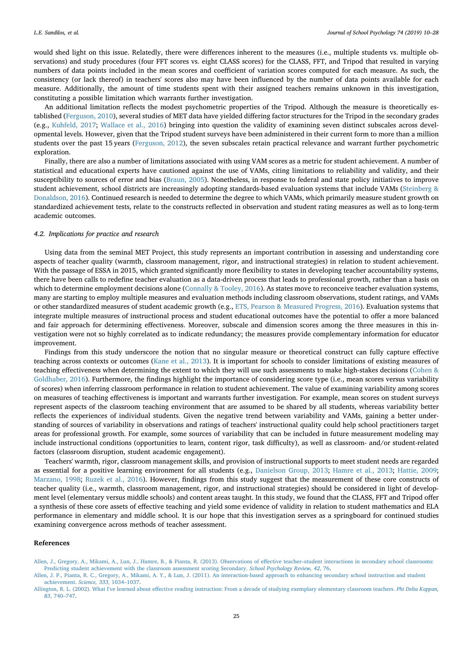would shed light on this issue. Relatedly, there were differences inherent to the measures (i.e., multiple students vs. multiple observations) and study procedures (four FFT scores vs. eight CLASS scores) for the CLASS, FFT, and Tripod that resulted in varying numbers of data points included in the mean scores and coefficient of variation scores computed for each measure. As such, the consistency (or lack thereof) in teachers' scores also may have been influenced by the number of data points available for each measure. Additionally, the amount of time students spent with their assigned teachers remains unknown in this investigation, constituting a possible limitation which warrants further investigation.

An additional limitation reflects the modest psychometric properties of the Tripod. Although the measure is theoretically established [\(Ferguson, 2010](#page-17-12)), several studies of MET data have yielded differing factor structures for the Tripod in the secondary grades (e.g., [Kuhfeld, 2017;](#page-18-46) [Wallace et al., 2016](#page-18-38)) bringing into question the validity of examining seven distinct subscales across developmental levels. However, given that the Tripod student surveys have been administered in their current form to more than a million students over the past 15 years ([Ferguson, 2012\)](#page-17-35), the seven subscales retain practical relevance and warrant further psychometric exploration.

Finally, there are also a number of limitations associated with using VAM scores as a metric for student achievement. A number of statistical and educational experts have cautioned against the use of VAMs, citing limitations to reliability and validity, and their susceptibility to sources of error and bias ([Braun, 2005](#page-17-26)). Nonetheless, in response to federal and state policy initiatives to improve student achievement, school districts are increasingly adopting standards-based evaluation systems that include VAMs ([Steinberg &](#page-18-28) [Donaldson, 2016](#page-18-28)). Continued research is needed to determine the degree to which VAMs, which primarily measure student growth on standardized achievement tests, relate to the constructs reflected in observation and student rating measures as well as to long-term academic outcomes.

#### *4.2. Implications for practice and research*

Using data from the seminal MET Project, this study represents an important contribution in assessing and understanding core aspects of teacher quality (warmth, classroom management, rigor, and instructional strategies) in relation to student achievement. With the passage of ESSA in 2015, which granted significantly more flexibility to states in developing teacher accountability systems, there have been calls to redefine teacher evaluation as a data-driven process that leads to professional growth, rather than a basis on which to determine employment decisions alone [\(Connally & Tooley, 2016\)](#page-17-45). As states move to reconceive teacher evaluation systems, many are starting to employ multiple measures and evaluation methods including classroom observations, student ratings, and VAMs or other standardized measures of student academic growth (e.g., [ETS, Pearson & Measured Progress, 2016\)](#page-17-46). Evaluation systems that integrate multiple measures of instructional process and student educational outcomes have the potential to offer a more balanced and fair approach for determining effectiveness. Moreover, subscale and dimension scores among the three measures in this investigation were not so highly correlated as to indicate redundancy; the measures provide complementary information for educator improvement.

Findings from this study underscore the notion that no singular measure or theoretical construct can fully capture effective teaching across contexts or outcomes ([Kane et al., 2013\)](#page-18-4). It is important for schools to consider limitations of existing measures of teaching effectiveness when determining the extent to which they will use such assessments to make high-stakes decisions [\(Cohen &](#page-17-1) [Goldhaber, 2016](#page-17-1)). Furthermore, the findings highlight the importance of considering score type (i.e., mean scores versus variability of scores) when inferring classroom performance in relation to student achievement. The value of examining variability among scores on measures of teaching effectiveness is important and warrants further investigation. For example, mean scores on student surveys represent aspects of the classroom teaching environment that are assumed to be shared by all students, whereas variability better reflects the experiences of individual students. Given the negative trend between variability and VAMs, gaining a better understanding of sources of variability in observations and ratings of teachers' instructional quality could help school practitioners target areas for professional growth. For example, some sources of variability that can be included in future measurement modeling may include instructional conditions (opportunities to learn, content rigor, task difficulty), as well as classroom- and/or student-related factors (classroom disruption, student academic engagement).

Teachers' warmth, rigor, classroom management skills, and provision of instructional supports to meet student needs are regarded as essential for a positive learning environment for all students (e.g., [Danielson Group, 2013;](#page-17-9) [Hamre et al., 2013](#page-17-10); [Hattie, 2009](#page-17-11); [Marzano, 1998;](#page-18-5) [Ruzek et al., 2016\)](#page-18-6). However, findings from this study suggest that the measurement of these core constructs of teacher quality (i.e., warmth, classroom management, rigor, and instructional strategies) should be considered in light of development level (elementary versus middle schools) and content areas taught. In this study, we found that the CLASS, FFT and Tripod offer a synthesis of these core assets of effective teaching and yield some evidence of validity in relation to student mathematics and ELA performance in elementary and middle school. It is our hope that this investigation serves as a springboard for continued studies examining convergence across methods of teacher assessment.

#### **References**

<span id="page-16-2"></span>[Allen, J., Gregory, A., Mikami, A., Lun, J., Hamre, B., & Pianta, R. \(2013\). Observations of effective teacher–student interactions in secondary school classrooms:](http://refhub.elsevier.com/S0022-4405(19)30029-9/rf0005) [Predicting student achievement with the classroom assessment scoring Secondary.](http://refhub.elsevier.com/S0022-4405(19)30029-9/rf0005) *School Psychology Review, 42*, 76.

<span id="page-16-1"></span>[Allen, J. P., Pianta, R. C., Gregory, A., Mikami, A. Y., & Lun, J. \(2011\). An interaction-based approach to enhancing secondary school instruction and student](http://refhub.elsevier.com/S0022-4405(19)30029-9/rf0010) [achievement.](http://refhub.elsevier.com/S0022-4405(19)30029-9/rf0010) *Science, 333*, 1034–1037.

<span id="page-16-0"></span>[Allington, R. L. \(2002\). What I've learned about effective reading instruction: From a decade of studying exemplary elementary classroom teachers.](http://refhub.elsevier.com/S0022-4405(19)30029-9/rf0015) *Phi Delta Kappan, 83*[, 740–747.](http://refhub.elsevier.com/S0022-4405(19)30029-9/rf0015)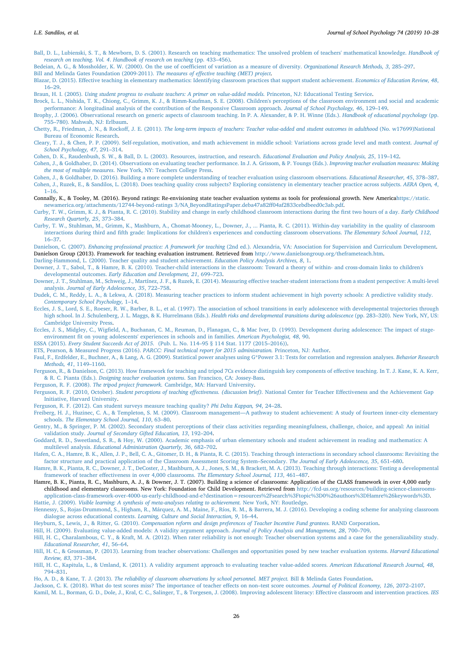<span id="page-17-42"></span>[Ball, D. L., Lubienski, S. T., & Mewborn, D. S. \(2001\). Research on teaching mathematics: The unsolved problem of teachers' mathematical knowledge.](http://refhub.elsevier.com/S0022-4405(19)30029-9/rf0020) *Handbook of research on teaching*. *Vol. 4*. *[Handbook of research on teaching](http://refhub.elsevier.com/S0022-4405(19)30029-9/rf0020)* (pp. 433–456).

<span id="page-17-7"></span>[Bedeian, A. G., & Mossholder, K. W. \(2000\). On the use of coefficient of variation as a measure of diversity.](http://refhub.elsevier.com/S0022-4405(19)30029-9/rf0025) *Organizational Research Methods, 3*, 285–297.

<span id="page-17-8"></span>[Bill and Melinda Gates Foundation \(2009-2011\).](http://refhub.elsevier.com/S0022-4405(19)30029-9/rf0030) *The measures of effective teaching (MET) project*.

<span id="page-17-5"></span>[Blazar, D. \(2015\). Effective teaching in elementary mathematics: Identifying classroom practices that support student achievement.](http://refhub.elsevier.com/S0022-4405(19)30029-9/rf0035) *Economics of Education Review, 48*, [16–29](http://refhub.elsevier.com/S0022-4405(19)30029-9/rf0035).

<span id="page-17-26"></span>Braun, H. I. (2005). *[Using student progress to evaluate teachers: A primer on value-added models.](http://refhub.elsevier.com/S0022-4405(19)30029-9/rf0040)* Princeton, NJ: Educational Testing Service.

<span id="page-17-22"></span>[Brock, L. L., Nishida, T. K., Chiong, C., Grimm, K. J., & Rimm-Kaufman, S. E. \(2008\). Children's perceptions of the classroom environment and social and academic](http://refhub.elsevier.com/S0022-4405(19)30029-9/rf0045) [performance: A longitudinal analysis of the contribution of the Responsive Classroom approach.](http://refhub.elsevier.com/S0022-4405(19)30029-9/rf0045) *Journal of School Psychology, 46*, 129–149.

<span id="page-17-33"></span>[Brophy, J. \(2006\). Observational research on generic aspects of classroom teaching. In P. A. Alexander, & P. H. Winne \(Eds.\).](http://refhub.elsevier.com/S0022-4405(19)30029-9/rf0050) *Handbook of educational psychology* (pp. [755–780\). Mahwah, NJ: Erlbaum.](http://refhub.elsevier.com/S0022-4405(19)30029-9/rf0050)

- <span id="page-17-0"></span>Chetty, R., Friedman, J. N., & Rockoff, J. E. (2011). *[The long-term impacts of teachers: Teacher value-added and student outcomes in adulthood](http://refhub.elsevier.com/S0022-4405(19)30029-9/rf0055)* (No. w17699)National [Bureau of Economic Research.](http://refhub.elsevier.com/S0022-4405(19)30029-9/rf0055)
- <span id="page-17-27"></span>[Cleary, T. J., & Chen, P. P. \(2009\). Self-regulation, motivation, and math achievement in middle school: Variations across grade level and math context.](http://refhub.elsevier.com/S0022-4405(19)30029-9/rf0060) *Journal of [School Psychology, 47](http://refhub.elsevier.com/S0022-4405(19)30029-9/rf0060)*, 291–314.

<span id="page-17-31"></span>[Cohen, D. K., Raudenbush, S. W., & Ball, D. L. \(2003\). Resources, instruction, and research.](http://refhub.elsevier.com/S0022-4405(19)30029-9/rf0065) *Educational Evaluation and Policy Analysis, 25*, 119–142.

- <span id="page-17-39"></span>[Cohen, J., & Goldhaber, D. \(2014\). Observations on evaluating teacher performance. In J. A. Grissom, & P. Youngs \(Eds.\).](http://refhub.elsevier.com/S0022-4405(19)30029-9/rf0070) *Improving teacher evaluation measures: Making the most of multiple measures*[. New York, NY: Teachers College Press.](http://refhub.elsevier.com/S0022-4405(19)30029-9/rf0070)
- <span id="page-17-2"></span><span id="page-17-1"></span>[Cohen, J., & Goldhaber, D. \(2016\). Building a more complete understanding of teacher evaluation using classroom observations.](http://refhub.elsevier.com/S0022-4405(19)30029-9/rf0075) *Educational Researcher, 45*, 378–387. [Cohen, J., Ruzek, E., & Sandilos, L. \(2018\). Does teaching quality cross subjects? Exploring consistency in elementary teacher practice across subjects.](http://refhub.elsevier.com/S0022-4405(19)30029-9/rf0080) *AERA Open, 4*, [1–16.](http://refhub.elsevier.com/S0022-4405(19)30029-9/rf0080)
- <span id="page-17-45"></span>Connally, K., & Tooley, M. (2016). Beyond ratings: Re-envisioning state teacher evaluation systems as tools for professional growth. New Americ[ahttps://static.](https://static.newamerica.org/attachments/12744-beyond-ratings%203/NA_BeyondRatingsPaper.deba47a82ff04af2833cebdbeed0c3ab.pdf) [newamerica.org/attachments/12744-beyond-ratings 3/NA\\_BeyondRatingsPaper.deba47a82ff04af2833cebdbeed0c3ab.pdf](https://static.newamerica.org/attachments/12744-beyond-ratings%203/NA_BeyondRatingsPaper.deba47a82ff04af2833cebdbeed0c3ab.pdf).
- <span id="page-17-32"></span>[Curby, T. W., Grimm, K. J., & Pianta, R. C. \(2010\). Stability and change in early childhood classroom interactions during the first two hours of a day.](http://refhub.elsevier.com/S0022-4405(19)30029-9/rf2005) *Early Childhood [Research Quarterly, 25](http://refhub.elsevier.com/S0022-4405(19)30029-9/rf2005)*, 373–384.
- <span id="page-17-40"></span>[Curby, T. W., Stuhlman, M., Grimm, K., Mashburn, A., Chomat-Mooney, L., Downer, J., ... Pianta, R. C. \(2011\). Within-day variability in the quality of classroom](http://refhub.elsevier.com/S0022-4405(19)30029-9/rf0090) [interactions during third and fifth grade: Implications for children's experiences and conducting classroom observations.](http://refhub.elsevier.com/S0022-4405(19)30029-9/rf0090) *The Elementary School Journal, 112*, [16–37](http://refhub.elsevier.com/S0022-4405(19)30029-9/rf0090).
- <span id="page-17-18"></span><span id="page-17-9"></span>Danielson, C. (2007). *Enhancing professional practice: A framework for teaching* [\(2nd ed.\). Alexandria, VA: Association for Supervision and Curriculum Development](http://refhub.elsevier.com/S0022-4405(19)30029-9/rf0095). Danielson Group (2013). Framework for teaching evaluation instrument. Retrieved from <http://www.danielsongroup.org/theframeteach.htm>.
- <span id="page-17-37"></span>[Darling-Hammond, L. \(2000\). Teacher quality and student achievement.](http://refhub.elsevier.com/S0022-4405(19)30029-9/rf0105) *Education Policy Analysis Archives, 8*, 1.
- <span id="page-17-20"></span>[Downer, J. T., Sabol, T., & Hamre, B. K. \(2010\). Teacher-child interactions in the classroom: Toward a theory of within- and cross-domain links to children's](http://refhub.elsevier.com/S0022-4405(19)30029-9/rf0110) developmental outcomes. *[Early Education and Development, 21](http://refhub.elsevier.com/S0022-4405(19)30029-9/rf0110)*, 699–723.
- <span id="page-17-17"></span>[Downer, J. T., Stuhlman, M., Schweig, J., Martínez, J. F., & Ruzek, E. \(2014\). Measuring effective teacher-student interactions from a student perspective: A multi-level](http://refhub.elsevier.com/S0022-4405(19)30029-9/rf0115) analysis. *[Journal of Early Adolescence, 35](http://refhub.elsevier.com/S0022-4405(19)30029-9/rf0115)*, 722–758.
- <span id="page-17-13"></span>[Dudek, C. M., Reddy, L. A., & Lekwa, A. \(2018\). Measuring teacher practices to inform student achievement in high poverty schools: A predictive validity study.](http://refhub.elsevier.com/S0022-4405(19)30029-9/rf0120) *[Contemporary School Psychology,](http://refhub.elsevier.com/S0022-4405(19)30029-9/rf0120)* 1–14.
- <span id="page-17-28"></span>[Eccles, J. S., Lord, S. E., Roeser, R. W., Barber, B. L., et al. \(1997\). The association of school transitions in early adolescence with developmental trajectories through](http://refhub.elsevier.com/S0022-4405(19)30029-9/rf0125) [high school. In J. Schulenberg, J. L. Maggs, & K. Hurrelmann \(Eds.\).](http://refhub.elsevier.com/S0022-4405(19)30029-9/rf0125) *Health risks and developmental transitions during adolescence* (pp. 283–320). New York, NY, US: [Cambridge University Press](http://refhub.elsevier.com/S0022-4405(19)30029-9/rf0125).
- <span id="page-17-43"></span>[Eccles, J. S., Midgley, C., Wigfield, A., Buchanan, C. M., Reuman, D., Flanagan, C., & Mac Iver, D. \(1993\). Development during adolescence: The impact of stage](http://refhub.elsevier.com/S0022-4405(19)30029-9/rf0130)[environment fit on young adolescents' experiences in schools and in families.](http://refhub.elsevier.com/S0022-4405(19)30029-9/rf0130) *American Psychologist, 48*, 90.

<span id="page-17-4"></span>ESSA (2015). *Every Student Succeeds Act of 2015.* [\(Pub. L. No. 114–95 § 114 Stat. 1177 \(2015–2016\)\).](http://refhub.elsevier.com/S0022-4405(19)30029-9/rf0135)

- <span id="page-17-46"></span>ETS, Pearson, & Measured Progress (2016). *[PARCC: Final technical report for 2015 administration.](http://refhub.elsevier.com/S0022-4405(19)30029-9/rf0140)* Princeton, NJ: Author.
- <span id="page-17-36"></span>[Faul, F., Erdfelder, E., Buchner, A., & Lang, A. G. \(2009\). Statistical power analyses using G\\*Power 3.1: Tests for correlation and regression analyses.](http://refhub.elsevier.com/S0022-4405(19)30029-9/rf0145) *Behavior Research Methods, 41*[, 1149–1160](http://refhub.elsevier.com/S0022-4405(19)30029-9/rf0145).
- <span id="page-17-16"></span>[Ferguson, R., & Danielson, C. \(2013\). How framework for teaching and tripod 7Cs evidence distinguish key components of effective teaching. In T. J. Kane, K. A. Kerr,](http://refhub.elsevier.com/S0022-4405(19)30029-9/rf0150) & R. C. Pianta (Eds.). *[Designing teacher evaluation systems](http://refhub.elsevier.com/S0022-4405(19)30029-9/rf0150)*. San Francisco, CA: Jossey-Bass.
- <span id="page-17-23"></span>Ferguson, R. F. (2008). *The tripod project framework.* [Cambridge, MA: Harvard University](http://refhub.elsevier.com/S0022-4405(19)30029-9/rf0155).
- <span id="page-17-12"></span>Ferguson, R. F. (2010, October). *Student perceptions of teaching effectiveness. (discussion brief).* [National Center for Teacher Effectiveness and the Achievement Gap](http://refhub.elsevier.com/S0022-4405(19)30029-9/rf0160) [Initiative, Harvard University.](http://refhub.elsevier.com/S0022-4405(19)30029-9/rf0160)
- <span id="page-17-35"></span>[Ferguson, R. F. \(2012\). Can student surveys measure teaching quality?](http://refhub.elsevier.com/S0022-4405(19)30029-9/rf0165) *Phi Delta Kappan, 94*, 24–28.
- <span id="page-17-41"></span>[Freiberg, H. J., Huzinec, C. A., & Templeton, S. M. \(2009\). Classroom management—A pathway to student achievement: A study of fourteen inner-city elementary](http://refhub.elsevier.com/S0022-4405(19)30029-9/rf0170) schools. *[The Elementary School Journal, 110](http://refhub.elsevier.com/S0022-4405(19)30029-9/rf0170)*, 63–80.
- <span id="page-17-29"></span>[Gentry, M., & Springer, P. M. \(2002\). Secondary student perceptions of their class activities regarding meaningfulness, challenge, choice, and appeal: An initial](http://refhub.elsevier.com/S0022-4405(19)30029-9/rf0175) validation study. *[Journal of Secondary Gifted Education, 13](http://refhub.elsevier.com/S0022-4405(19)30029-9/rf0175)*, 192–204.
- <span id="page-17-14"></span>[Goddard, R. D., Sweetland, S. R., & Hoy, W. \(2000\). Academic emphasis of urban elementary schools and student achievement in reading and mathematics: A](http://refhub.elsevier.com/S0022-4405(19)30029-9/rf0180) multilevel analysis. *[Educational Administration Quarterly, 36](http://refhub.elsevier.com/S0022-4405(19)30029-9/rf0180)*, 682–702.
- <span id="page-17-21"></span>[Hafen, C. A., Hamre, B. K., Allen, J. P., Bell, C. A., Gitomer, D. H., & Pianta, R. C. \(2015\). Teaching through interactions in secondary school classrooms: Revisiting the](http://refhub.elsevier.com/S0022-4405(19)30029-9/rf0185) [factor structure and practical application of the Classroom Assessment Scoring System–Secondary.](http://refhub.elsevier.com/S0022-4405(19)30029-9/rf0185) *The Journal of Early Adolescence, 35*, 651–680.
- <span id="page-17-10"></span>[Hamre, B. K., Pianta, R. C., Downer, J. T., DeCoster, J., Mashburn, A. J., Jones, S. M., & Brackett, M. A. \(2013\). Teaching through interactions: Testing a developmental](http://refhub.elsevier.com/S0022-4405(19)30029-9/rf0190) [framework of teacher effectiveness in over 4,000 classrooms.](http://refhub.elsevier.com/S0022-4405(19)30029-9/rf0190) *The Elementary School Journal, 113*, 461–487.
- <span id="page-17-19"></span>Hamre, B. K., Pianta, R. C., Mashburn, A. J., & Downer, J. T. (2007). Building a science of classrooms: Application of the CLASS framework in over 4,000 early childhood and elementary classrooms. New York: Foundation for Child Development. Retrieved from [http://fcd-us.org/resources/building-science-classrooms](http://fcd-us.org/resources/building-science-classrooms-application-class-framework-over-4000-us-early-childhood-and-e?destination=resources%2Fsearch%3Ftopic%3D0%26authors%3DHamre%26keywords%3D)[application-class-framework-over-4000-us-early-childhood-and-e?destination=resources%2Fsearch%3Ftopic%3D0%26authors%3DHamre%26keywords%3D.](http://fcd-us.org/resources/building-science-classrooms-application-class-framework-over-4000-us-early-childhood-and-e?destination=resources%2Fsearch%3Ftopic%3D0%26authors%3DHamre%26keywords%3D) Hattie, J. (2009). *[Visible learning: A synthesis of meta-analyses relating to achievement.](http://refhub.elsevier.com/S0022-4405(19)30029-9/rf0200)* New York, NY: Routledge.
- <span id="page-17-38"></span><span id="page-17-11"></span>[Hennessy, S., Rojas-Drummond, S., Higham, R., Márquez, A. M., Maine, F., Ríos, R. M., & Barrera, M. J. \(2016\). Developing a coding scheme for analyzing classroom](http://refhub.elsevier.com/S0022-4405(19)30029-9/rf0205) dialogue across educational contexts. *[Learning, Culture and Social Interaction, 9](http://refhub.elsevier.com/S0022-4405(19)30029-9/rf0205)*, 16–44.
- <span id="page-17-3"></span>Heyburn, S., Lewis, J., & Ritter, G. (2010). *[Compensation reform and design preferences of Teacher Incentive Fund grantees.](http://refhub.elsevier.com/S0022-4405(19)30029-9/rf0210)* RAND Corporation.

<span id="page-17-24"></span>[Hill, H. \(2009\). Evaluating value-added models: A validity argument approach.](http://refhub.elsevier.com/S0022-4405(19)30029-9/rf0215) *Journal of Policy Analysis and Management, 28*, 700–709.

<span id="page-17-34"></span>[Hill, H. C., Charalambous, C. Y., & Kraft, M. A. \(2012\). When rater reliability is not enough: Teacher observation systems and a case for the generalizability study.](http://refhub.elsevier.com/S0022-4405(19)30029-9/rf0220) *[Educational Researcher, 41](http://refhub.elsevier.com/S0022-4405(19)30029-9/rf0220)*, 56–64.

- <span id="page-17-30"></span>[Hill, H. C., & Grossman, P. \(2013\). Learning from teacher observations: Challenges and opportunities posed by new teacher evaluation systems.](http://refhub.elsevier.com/S0022-4405(19)30029-9/rf0225) *Harvard Educational [Review, 83](http://refhub.elsevier.com/S0022-4405(19)30029-9/rf0225)*, 371–384.
- <span id="page-17-6"></span>[Hill, H. C., Kapitula, L., & Umland, K. \(2011\). A validity argument approach to evaluating teacher value-added scores.](http://refhub.elsevier.com/S0022-4405(19)30029-9/rf0230) *American Educational Research Journal, 48*, [794–831.](http://refhub.elsevier.com/S0022-4405(19)30029-9/rf0230)
- <span id="page-17-44"></span>Ho, A. D., & Kane, T. J. (2013). *[The reliability of classroom observations by school personnel. MET project.](http://refhub.elsevier.com/S0022-4405(19)30029-9/rf0235)* Bill & Melinda Gates Foundation.

<span id="page-17-25"></span>[Jackson, C. K. \(2018\). What do test scores miss? The importance of teacher effects on non–test score outcomes.](http://refhub.elsevier.com/S0022-4405(19)30029-9/rf2000) *Journal of Political Economy, 126*, 2072–2107.

<span id="page-17-15"></span>[Kamil, M. L., Borman, G. D., Dole, J., Kral, C. C., Salinger, T., & Torgesen, J. \(2008\). Improving adolescent literacy: Effective classroom and intervention practices.](http://refhub.elsevier.com/S0022-4405(19)30029-9/rf0245) *IES*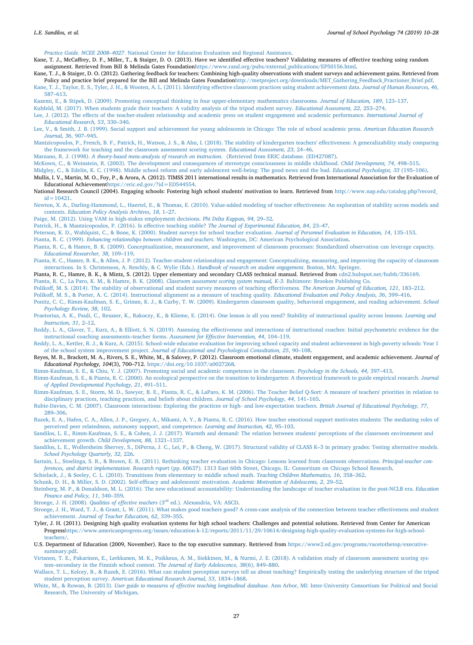*Practice Guide. NCEE 2008–4027*[. National Center for Education Evaluation and Regional Assistance](http://refhub.elsevier.com/S0022-4405(19)30029-9/rf0245).

<span id="page-18-4"></span>Kane, T. J., McCaffrey, D. F., Miller, T., & Staiger, D. O. (2013). Have we identified effective teachers? Validating measures of effective teaching using random assignment. Retrieved from Bill & Melinda Gates Foundatio[nhttps://www.rand.org/pubs/external\\_publications/EP50156.html.](https://www.rand.org/pubs/external_publications/EP50156.html)

<span id="page-18-26"></span><span id="page-18-24"></span>Kane, T. J., & Staiger, D. O. (2012). Gathering feedback for teachers: Combining high-quality observations with student surveys and achievement gains. Retrieved from Policy and practice brief prepared for the Bill and Melinda Gates Foundation[http://metproject.org/downloads/MET\\_Gathering\\_Feedback\\_Practioner\\_Brief.pdf](http://metproject.org/downloads/MET_Gathering_Feedback_Practioner_Brief.pdf). [Kane, T. J., Taylor, E. S., Tyler, J. H., & Wooten, A. L. \(2011\). Identifying effective classroom practices using student achievement data.](http://refhub.elsevier.com/S0022-4405(19)30029-9/rf0260) *Journal of Human Resources, 46*, [587–613.](http://refhub.elsevier.com/S0022-4405(19)30029-9/rf0260)

<span id="page-18-17"></span>[Kazemi, E., & Stipek, D. \(2009\). Promoting conceptual thinking in four upper-elementary mathematics classrooms.](http://refhub.elsevier.com/S0022-4405(19)30029-9/rf0265) *Journal of Education, 189*, 123–137.

<span id="page-18-46"></span>[Kuhfeld, M. \(2017\). When students grade their teachers: A validity analysis of the tripod student survey.](http://refhub.elsevier.com/S0022-4405(19)30029-9/rf0275) *Educational Assessment, 22*, 253–274.

<span id="page-18-12"></span>[Lee, J. \(2012\). The effects of the teacher-student relationship and academic press on student engagement and academic performance.](http://refhub.elsevier.com/S0022-4405(19)30029-9/rf0280) *International Journal of [Educational Research, 53](http://refhub.elsevier.com/S0022-4405(19)30029-9/rf0280)*, 330–340.

<span id="page-18-13"></span>[Lee, V., & Smith, J. B. \(1999\). Social support and achievement for young adolescents in Chicago: The role of school academic press.](http://refhub.elsevier.com/S0022-4405(19)30029-9/rf0285) *American Education Research [Journal, 36](http://refhub.elsevier.com/S0022-4405(19)30029-9/rf0285)*, 907–945.

<span id="page-18-34"></span>[Mantzicopoulos, P., French, B. F., Patrick, H., Watson, J. S., & Ahn, I. \(2018\). The stability of kindergarten teachers' effectiveness: A generalizability study comparing](http://refhub.elsevier.com/S0022-4405(19)30029-9/rf0290) [the framework for teaching and the classroom assessment scoring system.](http://refhub.elsevier.com/S0022-4405(19)30029-9/rf0290) *Educational Assessment, 23*, 24–46.

<span id="page-18-5"></span>Marzano, R. J. (1998). *[A theory-based meta-analysis of research on instruction.](http://refhub.elsevier.com/S0022-4405(19)30029-9/rf0295)* (Retrieved from ERIC database. (ED427087).

<span id="page-18-15"></span>[McKown, C., & Weinstein, R. \(2003\). The development and consequences of stereotype consciousness in middle childhood.](http://refhub.elsevier.com/S0022-4405(19)30029-9/rf0300) *Child Development, 74*, 498–515.

<span id="page-18-44"></span><span id="page-18-29"></span>[Midgley, C., & Edelin, K. C. \(1998\). Middle school reform and early adolescent well-being: The good news and the bad.](http://refhub.elsevier.com/S0022-4405(19)30029-9/rf0305) *Educational Psychologist, 33* (195–106). Mullis, I. V., Martin, M. O., Foy, P., & Arora, A. (2012). TIMSS 2011 international results in mathematics. Retrieved from International Association for the Evaluation of Educational Achievemen[thttps://eric.ed.gov/?id=ED544554](https://eric.ed.gov/?id=ED544554).

<span id="page-18-9"></span>National Research Council (2004). Engaging schools: Fostering high school students' motivation to learn. Retrieved from [http://www.nap.edu/catalog.php?record\\_](http://www.nap.edu/catalog.php?record_id=10421)  $id = 10421$ .

<span id="page-18-3"></span>[Newton, X. A., Darling-Hammond, L., Haertel, E., & Thomas, E. \(2010\). Value-added modeling of teacher effectiveness: An exploration of stability across models and](http://refhub.elsevier.com/S0022-4405(19)30029-9/rf2010) contexts. *[Education Policy Analysis Archives, 18](http://refhub.elsevier.com/S0022-4405(19)30029-9/rf2010)*, 1–27.

<span id="page-18-27"></span>[Paige, M. \(2012\). Using VAM in high-stakes employment decisions.](http://refhub.elsevier.com/S0022-4405(19)30029-9/rf0320) *Phi Delta Kappan, 94*, 29–32.

<span id="page-18-33"></span>[Patrick, H., & Mantzicopoulos, P. \(2016\). Is effective teaching stable?](http://refhub.elsevier.com/S0022-4405(19)30029-9/rf2015) *The Journal of Experimental Education, 84*, 23–47.

<span id="page-18-40"></span>[Peterson, K. D., Wahlquist, C., & Bone, K. \(2000\). Student surveys for school teacher evaluation.](http://refhub.elsevier.com/S0022-4405(19)30029-9/rf0325) *Journal of Personnel Evaluation in Education, 14*, 135–153.

<span id="page-18-1"></span>Pianta, R. C. (1999). *Enhancing relationships between children and teachers.* [Washington, DC: American Psychological Association](http://refhub.elsevier.com/S0022-4405(19)30029-9/rf0330).

<span id="page-18-10"></span>[Pianta, R. C., & Hamre, B. K. \(2009\). Conceptualization, measurement, and improvement of classroom processes: Standardized observation can leverage capacity.](http://refhub.elsevier.com/S0022-4405(19)30029-9/rf0335) *[Educational Researcher, 38](http://refhub.elsevier.com/S0022-4405(19)30029-9/rf0335)*, 109–119.

<span id="page-18-42"></span>[Pianta, R. C., Hamre, B. K., & Allen, J. P. \(2012\). Teacher-student relationships and engagement: Conceptualizing, measuring, and improving the capacity of classroom](http://refhub.elsevier.com/S0022-4405(19)30029-9/rf0340) [interactions. In S. Christenson, A. Reschly, & C. Wylie \(Eds.\).](http://refhub.elsevier.com/S0022-4405(19)30029-9/rf0340) *Handbook of research on student engagement*. Boston, MA: Springer.

<span id="page-18-41"></span><span id="page-18-22"></span>Pianta, R. C., Hamre, B. K., & Mintz, S. (2012). Upper elementary and secondary CLASS technical manual. Retrieved from [cdn2.hubspot.net/hubfs/336169](http://cdn2.hubspot.net/hubfs/336169). [Pianta, R. C., La Paro, K. M., & Hamre, B. K. \(2008\).](http://refhub.elsevier.com/S0022-4405(19)30029-9/rf0350) *Classroom assessment scoring system manual, K-3.* Baltimore: Brookes Publishing Co.

<span id="page-18-21"></span>[Polikoff, M. S. \(2014\). The stability of observational and student survey measures of teaching effectiveness.](http://refhub.elsevier.com/S0022-4405(19)30029-9/rf0355) *The American Journal of Education, 121*, 183–212.

<span id="page-18-37"></span>[Polikoff, M. S., & Porter, A. C. \(2014\). Instructional alignment as a measure of teaching quality.](http://refhub.elsevier.com/S0022-4405(19)30029-9/rf0360) *Educational Evaluation and Policy Analysis, 36*, 399–416.

<span id="page-18-11"></span>[Ponitz, C. C., Rimm-Kaufman, S. E., Grimm, K. J., & Curby, T. W. \(2009\). Kindergarten classroom quality, behavioral engagement, and reading achievement.](http://refhub.elsevier.com/S0022-4405(19)30029-9/rf0365) *School [Psychology Review, 38](http://refhub.elsevier.com/S0022-4405(19)30029-9/rf0365)*, 102.

<span id="page-18-32"></span>[Praetorius, A. K., Pauli, C., Reusser, K., Rakoczy, K., & Klieme, E. \(2014\). One lesson is all you need? Stability of instructional quality across lessons.](http://refhub.elsevier.com/S0022-4405(19)30029-9/rf0370) *Learning and [Instruction, 31](http://refhub.elsevier.com/S0022-4405(19)30029-9/rf0370)*, 2–12.

<span id="page-18-18"></span>[Reddy, L. A., Glover, T., Kurz, A., & Elliott, S. N. \(2019\). Assessing the effectiveness and interactions of instructional coaches: Initial psychometric evidence for the](http://refhub.elsevier.com/S0022-4405(19)30029-9/rf0375) [instructional coaching assessments–teacher forms.](http://refhub.elsevier.com/S0022-4405(19)30029-9/rf0375) *Assessment for Effective Intervention, 44*, 104–119.

<span id="page-18-35"></span>[Reddy, L. A., Kettler, R. J., & Kurz, A. \(2015\). School-wide educator evaluation for improving school capacity and student achievement in high-poverty schools: Year 1](http://refhub.elsevier.com/S0022-4405(19)30029-9/rf0380) of the school system improvement project. *[Journal of Educational and Psychological Consultation, 25](http://refhub.elsevier.com/S0022-4405(19)30029-9/rf0380)*, 90–108.

<span id="page-18-7"></span>Reyes, M. R., Brackett, M. A., Rivers, S. E., White, M., & Salovey, P. (2012). Classroom emotional climate, student engagement, and academic achievement. *Journal of Educational Psychology, 104*(3), 700–712. [https://doi.org/10.1037/a0027268.](https://doi.org/10.1037/a0027268)

<span id="page-18-8"></span>[Rimm-Kaufman, S. E., & Chiu, Y. J. \(2007\). Promoting social and academic competence in the classroom.](http://refhub.elsevier.com/S0022-4405(19)30029-9/rf0390) *Psychology in the Schools, 44*, 397–413.

<span id="page-18-30"></span>[Rimm-Kaufman, S. E., & Pianta, R. C. \(2000\). An ecological perspective on the transition to kindergarten: A theoretical framework to guide empirical research.](http://refhub.elsevier.com/S0022-4405(19)30029-9/rf0395) *Journal [of Applied Developmental Psychology, 21](http://refhub.elsevier.com/S0022-4405(19)30029-9/rf0395)*, 491–511.

<span id="page-18-39"></span>[Rimm-Kaufman, S. E., Storm, M. D., Sawyer, B. E., Pianta, R. C., & LaParo, K. M. \(2006\). The Teacher Belief Q-Sort: A measure of teachers' priorities in relation to](http://refhub.elsevier.com/S0022-4405(19)30029-9/rf0400) [disciplinary practices, teaching practices, and beliefs about children.](http://refhub.elsevier.com/S0022-4405(19)30029-9/rf0400) *Journal of School Psychology, 44*, 141–165.

<span id="page-18-14"></span>[Rubie-Davies, C. M. \(2007\). Classroom interactions: Exploring the practices or high- and low-expectation teachers.](http://refhub.elsevier.com/S0022-4405(19)30029-9/rf0405) *British Journal of Educational Psychology, 77*, [289–306.](http://refhub.elsevier.com/S0022-4405(19)30029-9/rf0405)

<span id="page-18-6"></span>[Ruzek, E. A., Hafen, C. A., Allen, J. P., Gregory, A., Mikami, A. Y., & Pianta, R. C. \(2016\). How teacher emotional support motivates students: The mediating roles of](http://refhub.elsevier.com/S0022-4405(19)30029-9/rf0410) [perceived peer relatedness, autonomy support, and competence.](http://refhub.elsevier.com/S0022-4405(19)30029-9/rf0410) *Learning and Instruction, 42*, 95–103.

<span id="page-18-16"></span>[Sandilos, L. E., Rimm-Kaufman, S. E., & Cohen, J. J. \(2017\). Warmth and demand: The relation between students' perceptions of the classroom environment and](http://refhub.elsevier.com/S0022-4405(19)30029-9/rf0415) achievement growth. *[Child Development, 88](http://refhub.elsevier.com/S0022-4405(19)30029-9/rf0415)*, 1321–1337.

<span id="page-18-23"></span>Sandilos, L. E., Wollersheim Shervey, S., DiPerna, J. C., Lei, P., & Cheng, W. (2017). Structural validity of CLASS K-3 in primary grades: Testing alternative models. *[School Psychology Quarterly, 32](http://refhub.elsevier.com/S0022-4405(19)30029-9/rf0420)*, 226.

<span id="page-18-25"></span>[Sartain, L., Stoelinga, S. R., & Brown, E. R. \(2011\). Rethinking teacher evaluation in Chicago: Lessons learned from classroom observations.](http://refhub.elsevier.com/S0022-4405(19)30029-9/rf0425) *Principal-teacher conferences, and district implementation. Research report* [\(pp. 60637\). 1313 East 60th Street, Chicago, IL: Consortium on Chicago School Research](http://refhub.elsevier.com/S0022-4405(19)30029-9/rf0425).

<span id="page-18-45"></span>[Schielack, J., & Seeley, C. L. \(2010\). Transitions from elementary to middle school math.](http://refhub.elsevier.com/S0022-4405(19)30029-9/rf0430) *Teaching Children Mathematics, 16*, 358–362.

<span id="page-18-31"></span>[Schunk, D. H., & Miller, S. D. \(2002\). Self-efficacy and adolescents' motivation.](http://refhub.elsevier.com/S0022-4405(19)30029-9/rf0435) *Academic Motivation of Adolescents, 2*, 29–52.

<span id="page-18-28"></span>[Steinberg, M. P., & Donaldson, M. L. \(2016\). The new educational accountability: Understanding the landscape of teacher evaluation in the post-NCLB era.](http://refhub.elsevier.com/S0022-4405(19)30029-9/rf0440) *Education [Finance and Policy, 11](http://refhub.elsevier.com/S0022-4405(19)30029-9/rf0440)*, 340–359.

<span id="page-18-19"></span>Stronge, J. H. (2008). *[Qualities of effective teachers](http://refhub.elsevier.com/S0022-4405(19)30029-9/rf0445)* (3rd ed.). Alexandria, VA: ASCD.

<span id="page-18-0"></span>[Stronge, J. H., Ward, T. J., & Grant, L. W. \(2011\). What makes good teachers good? A cross-case analysis of the connection between teacher effectiveness and student](http://refhub.elsevier.com/S0022-4405(19)30029-9/rf0450) achievement. *[Journal of Teacher Education, 62](http://refhub.elsevier.com/S0022-4405(19)30029-9/rf0450)*, 339–355.

<span id="page-18-20"></span>Tyler, J. H. (2011). Designing high quality evaluation systems for high school teachers: Challenges and potential solutions. Retrieved from Center for American Progress[https://www.americanprogress.org/issues/education-k-12/reports/2011/11/29/10614/designing-high-quality-evaluation-systems-for-high-school](https://www.americanprogress.org/issues/education-k-12/reports/2011/11/29/10614/designing-high-quality-evaluation-systems-for-high-school-teachers/)[teachers/](https://www.americanprogress.org/issues/education-k-12/reports/2011/11/29/10614/designing-high-quality-evaluation-systems-for-high-school-teachers/).

<span id="page-18-2"></span>U.S. Department of Education (2009, November). Race to the top executive summary. Retrieved from [https://www2.ed.gov/programs/racetothetop/executive](https://www2.ed.gov/programs/racetothetop/executive-summary.pdf)[summary.pdf](https://www2.ed.gov/programs/racetothetop/executive-summary.pdf).

<span id="page-18-43"></span>[Virtanen, T. E., Pakarinen, E., Lerkkanen, M. K., Poikkeus, A. M., Siekkinen, M., & Nurmi, J. E. \(2018\). A validation study of classroom assessment scoring sys](http://refhub.elsevier.com/S0022-4405(19)30029-9/rf0465)[tem–secondary in the Finnish school context.](http://refhub.elsevier.com/S0022-4405(19)30029-9/rf0465) *The Journal of Early Adolescence, 38*(6), 849–880.

<span id="page-18-38"></span>[Wallace, T. L., Kelcey, B., & Ruzek, E. \(2016\). What can student perception surveys tell us about teaching? Empirically testing the underlying structure of the tripod](http://refhub.elsevier.com/S0022-4405(19)30029-9/rf0470) student perception survey. *[American Educational Research Journal, 53](http://refhub.elsevier.com/S0022-4405(19)30029-9/rf0470)*, 1834–1868.

<span id="page-18-36"></span>White, M., & Rowan, B. (2013). *User guide to measures of effective teaching longitudinal database.* [Ann Arbor, MI: Inter-University Consortium for Political and Social](http://refhub.elsevier.com/S0022-4405(19)30029-9/rf0475) [Research, The University of Michigan](http://refhub.elsevier.com/S0022-4405(19)30029-9/rf0475).